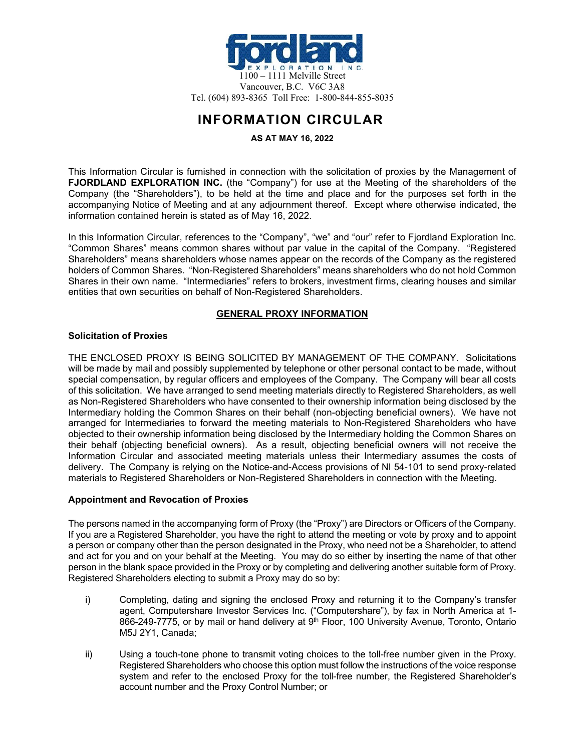

# **INFORMATION CIRCULAR**

# **AS AT MAY 16, 2022**

This Information Circular is furnished in connection with the solicitation of proxies by the Management of **FJORDLAND EXPLORATION INC.** (the "Company") for use at the Meeting of the shareholders of the Company (the "Shareholders"), to be held at the time and place and for the purposes set forth in the accompanying Notice of Meeting and at any adjournment thereof. Except where otherwise indicated, the information contained herein is stated as of May 16, 2022.

In this Information Circular, references to the "Company", "we" and "our" refer to Fjordland Exploration Inc. "Common Shares" means common shares without par value in the capital of the Company. "Registered Shareholders" means shareholders whose names appear on the records of the Company as the registered holders of Common Shares. "Non-Registered Shareholders" means shareholders who do not hold Common Shares in their own name. "Intermediaries" refers to brokers, investment firms, clearing houses and similar entities that own securities on behalf of Non-Registered Shareholders.

# **GENERAL PROXY INFORMATION**

# **Solicitation of Proxies**

THE ENCLOSED PROXY IS BEING SOLICITED BY MANAGEMENT OF THE COMPANY. Solicitations will be made by mail and possibly supplemented by telephone or other personal contact to be made, without special compensation, by regular officers and employees of the Company. The Company will bear all costs of this solicitation. We have arranged to send meeting materials directly to Registered Shareholders, as well as Non-Registered Shareholders who have consented to their ownership information being disclosed by the Intermediary holding the Common Shares on their behalf (non-objecting beneficial owners). We have not arranged for Intermediaries to forward the meeting materials to Non-Registered Shareholders who have objected to their ownership information being disclosed by the Intermediary holding the Common Shares on their behalf (objecting beneficial owners). As a result, objecting beneficial owners will not receive the Information Circular and associated meeting materials unless their Intermediary assumes the costs of delivery. The Company is relying on the Notice-and-Access provisions of NI 54-101 to send proxy-related materials to Registered Shareholders or Non-Registered Shareholders in connection with the Meeting.

# **Appointment and Revocation of Proxies**

The persons named in the accompanying form of Proxy (the "Proxy") are Directors or Officers of the Company. If you are a Registered Shareholder, you have the right to attend the meeting or vote by proxy and to appoint a person or company other than the person designated in the Proxy, who need not be a Shareholder, to attend and act for you and on your behalf at the Meeting. You may do so either by inserting the name of that other person in the blank space provided in the Proxy or by completing and delivering another suitable form of Proxy. Registered Shareholders electing to submit a Proxy may do so by:

- i) Completing, dating and signing the enclosed Proxy and returning it to the Company's transfer agent, Computershare Investor Services Inc. ("Computershare"), by fax in North America at 1- 866-249-7775, or by mail or hand delivery at 9<sup>th</sup> Floor, 100 University Avenue, Toronto, Ontario M5J 2Y1, Canada;
- ii) Using a touch-tone phone to transmit voting choices to the toll-free number given in the Proxy. Registered Shareholders who choose this option must follow the instructions of the voice response system and refer to the enclosed Proxy for the toll-free number, the Registered Shareholder's account number and the Proxy Control Number; or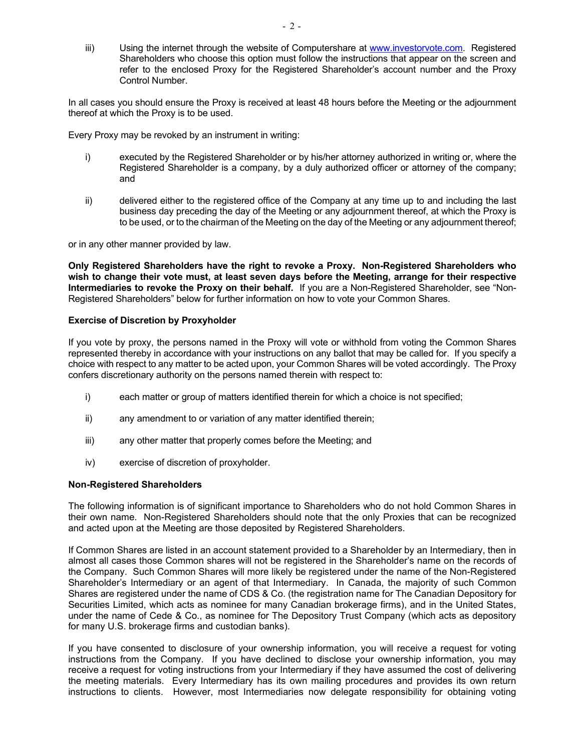iii) Using the internet through the website of Computershare at [www.investorvote.com.](http://www.investorvote.com/) Registered Shareholders who choose this option must follow the instructions that appear on the screen and refer to the enclosed Proxy for the Registered Shareholder's account number and the Proxy Control Number.

In all cases you should ensure the Proxy is received at least 48 hours before the Meeting or the adjournment thereof at which the Proxy is to be used.

Every Proxy may be revoked by an instrument in writing:

- i) executed by the Registered Shareholder or by his/her attorney authorized in writing or, where the Registered Shareholder is a company, by a duly authorized officer or attorney of the company; and
- ii) delivered either to the registered office of the Company at any time up to and including the last business day preceding the day of the Meeting or any adjournment thereof, at which the Proxy is to be used, or to the chairman of the Meeting on the day of the Meeting or any adjournment thereof;

or in any other manner provided by law.

**Only Registered Shareholders have the right to revoke a Proxy. Non-Registered Shareholders who wish to change their vote must, at least seven days before the Meeting, arrange for their respective Intermediaries to revoke the Proxy on their behalf.** If you are a Non-Registered Shareholder, see "Non-Registered Shareholders" below for further information on how to vote your Common Shares.

#### **Exercise of Discretion by Proxyholder**

If you vote by proxy, the persons named in the Proxy will vote or withhold from voting the Common Shares represented thereby in accordance with your instructions on any ballot that may be called for. If you specify a choice with respect to any matter to be acted upon, your Common Shares will be voted accordingly. The Proxy confers discretionary authority on the persons named therein with respect to:

- i) each matter or group of matters identified therein for which a choice is not specified;
- ii) any amendment to or variation of any matter identified therein;
- iii) any other matter that properly comes before the Meeting; and
- iv) exercise of discretion of proxyholder.

# **Non-Registered Shareholders**

The following information is of significant importance to Shareholders who do not hold Common Shares in their own name. Non-Registered Shareholders should note that the only Proxies that can be recognized and acted upon at the Meeting are those deposited by Registered Shareholders.

If Common Shares are listed in an account statement provided to a Shareholder by an Intermediary, then in almost all cases those Common shares will not be registered in the Shareholder's name on the records of the Company. Such Common Shares will more likely be registered under the name of the Non-Registered Shareholder's Intermediary or an agent of that Intermediary. In Canada, the majority of such Common Shares are registered under the name of CDS & Co. (the registration name for The Canadian Depository for Securities Limited, which acts as nominee for many Canadian brokerage firms), and in the United States, under the name of Cede & Co., as nominee for The Depository Trust Company (which acts as depository for many U.S. brokerage firms and custodian banks).

If you have consented to disclosure of your ownership information, you will receive a request for voting instructions from the Company. If you have declined to disclose your ownership information, you may receive a request for voting instructions from your Intermediary if they have assumed the cost of delivering the meeting materials. Every Intermediary has its own mailing procedures and provides its own return instructions to clients. However, most Intermediaries now delegate responsibility for obtaining voting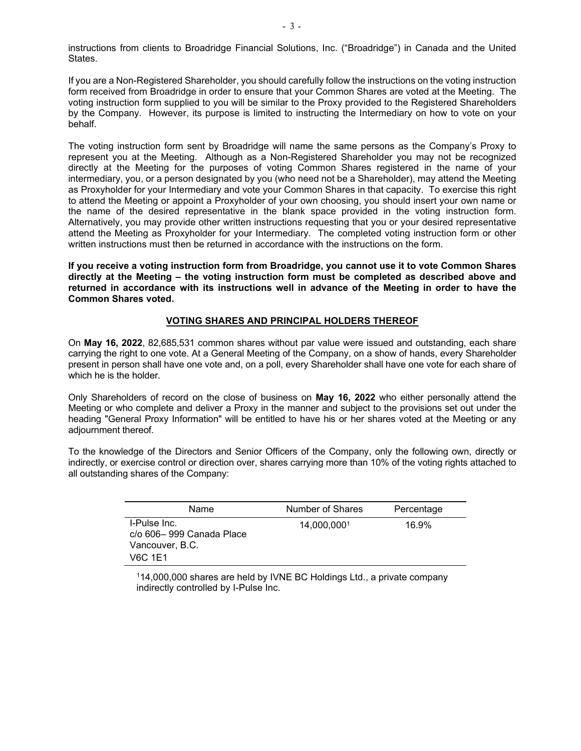instructions from clients to Broadridge Financial Solutions, Inc. ("Broadridge") in Canada and the United States.

If you are a Non-Registered Shareholder, you should carefully follow the instructions on the voting instruction form received from Broadridge in order to ensure that your Common Shares are voted at the Meeting. The voting instruction form supplied to you will be similar to the Proxy provided to the Registered Shareholders by the Company. However, its purpose is limited to instructing the Intermediary on how to vote on your behalf.

The voting instruction form sent by Broadridge will name the same persons as the Company's Proxy to represent you at the Meeting. Although as a Non-Registered Shareholder you may not be recognized directly at the Meeting for the purposes of voting Common Shares registered in the name of your intermediary, you, or a person designated by you (who need not be a Shareholder), may attend the Meeting as Proxyholder for your Intermediary and vote your Common Shares in that capacity. To exercise this right to attend the Meeting or appoint a Proxyholder of your own choosing, you should insert your own name or the name of the desired representative in the blank space provided in the voting instruction form. Alternatively, you may provide other written instructions requesting that you or your desired representative attend the Meeting as Proxyholder for your Intermediary. The completed voting instruction form or other written instructions must then be returned in accordance with the instructions on the form.

**If you receive a voting instruction form from Broadridge, you cannot use it to vote Common Shares directly at the Meeting – the voting instruction form must be completed as described above and returned in accordance with its instructions well in advance of the Meeting in order to have the Common Shares voted.**

#### **VOTING SHARES AND PRINCIPAL HOLDERS THEREOF**

On **May 16, 2022**, 82,685,531 common shares without par value were issued and outstanding, each share carrying the right to one vote. At a General Meeting of the Company, on a show of hands, every Shareholder present in person shall have one vote and, on a poll, every Shareholder shall have one vote for each share of which he is the holder.

Only Shareholders of record on the close of business on **May 16, 2022** who either personally attend the Meeting or who complete and deliver a Proxy in the manner and subject to the provisions set out under the heading "General Proxy Information" will be entitled to have his or her shares voted at the Meeting or any adjournment thereof.

To the knowledge of the Directors and Senior Officers of the Company, only the following own, directly or indirectly, or exercise control or direction over, shares carrying more than 10% of the voting rights attached to all outstanding shares of the Company:

| Name                                                                   | Number of Shares | Percentage |
|------------------------------------------------------------------------|------------------|------------|
| I-Pulse Inc.<br>c/o 606–999 Canada Place<br>Vancouver, B.C.<br>V6C 1E1 | 14,000,0001      | 16.9%      |

114,000,000 shares are held by IVNE BC Holdings Ltd., a private company indirectly controlled by I-Pulse Inc.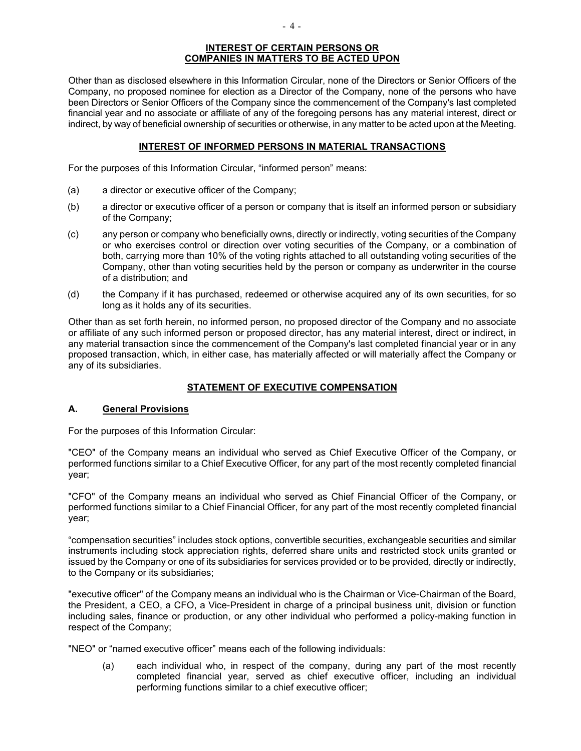#### **INTEREST OF CERTAIN PERSONS OR COMPANIES IN MATTERS TO BE ACTED UPON**

Other than as disclosed elsewhere in this Information Circular, none of the Directors or Senior Officers of the Company, no proposed nominee for election as a Director of the Company, none of the persons who have been Directors or Senior Officers of the Company since the commencement of the Company's last completed financial year and no associate or affiliate of any of the foregoing persons has any material interest, direct or indirect, by way of beneficial ownership of securities or otherwise, in any matter to be acted upon at the Meeting.

# **INTEREST OF INFORMED PERSONS IN MATERIAL TRANSACTIONS**

For the purposes of this Information Circular, "informed person" means:

- (a) a director or executive officer of the Company;
- (b) a director or executive officer of a person or company that is itself an informed person or subsidiary of the Company;
- (c) any person or company who beneficially owns, directly or indirectly, voting securities of the Company or who exercises control or direction over voting securities of the Company, or a combination of both, carrying more than 10% of the voting rights attached to all outstanding voting securities of the Company, other than voting securities held by the person or company as underwriter in the course of a distribution; and
- (d) the Company if it has purchased, redeemed or otherwise acquired any of its own securities, for so long as it holds any of its securities.

Other than as set forth herein, no informed person, no proposed director of the Company and no associate or affiliate of any such informed person or proposed director, has any material interest, direct or indirect, in any material transaction since the commencement of the Company's last completed financial year or in any proposed transaction, which, in either case, has materially affected or will materially affect the Company or any of its subsidiaries.

# **STATEMENT OF EXECUTIVE COMPENSATION**

# **A. General Provisions**

For the purposes of this Information Circular:

"CEO" of the Company means an individual who served as Chief Executive Officer of the Company, or performed functions similar to a Chief Executive Officer, for any part of the most recently completed financial year;

"CFO" of the Company means an individual who served as Chief Financial Officer of the Company, or performed functions similar to a Chief Financial Officer, for any part of the most recently completed financial year;

"compensation securities" includes stock options, convertible securities, exchangeable securities and similar instruments including stock appreciation rights, deferred share units and restricted stock units granted or issued by the Company or one of its subsidiaries for services provided or to be provided, directly or indirectly, to the Company or its subsidiaries;

"executive officer" of the Company means an individual who is the Chairman or Vice-Chairman of the Board, the President, a CEO, a CFO, a Vice-President in charge of a principal business unit, division or function including sales, finance or production, or any other individual who performed a policy-making function in respect of the Company;

"NEO" or "named executive officer" means each of the following individuals:

(a) each individual who, in respect of the company, during any part of the most recently completed financial year, served as chief executive officer, including an individual performing functions similar to a chief executive officer;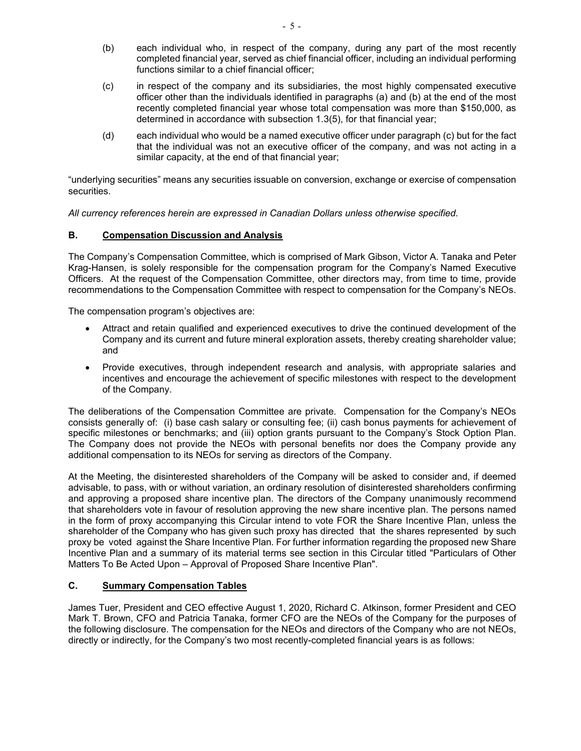- (b) each individual who, in respect of the company, during any part of the most recently completed financial year, served as chief financial officer, including an individual performing functions similar to a chief financial officer;
- (c) in respect of the company and its subsidiaries, the most highly compensated executive officer other than the individuals identified in paragraphs (a) and (b) at the end of the most recently completed financial year whose total compensation was more than \$150,000, as determined in accordance with subsection 1.3(5), for that financial year;
- (d) each individual who would be a named executive officer under paragraph (c) but for the fact that the individual was not an executive officer of the company, and was not acting in a similar capacity, at the end of that financial year;

"underlying securities" means any securities issuable on conversion, exchange or exercise of compensation securities.

*All currency references herein are expressed in Canadian Dollars unless otherwise specified.*

# **B. Compensation Discussion and Analysis**

The Company's Compensation Committee, which is comprised of Mark Gibson, Victor A. Tanaka and Peter Krag-Hansen, is solely responsible for the compensation program for the Company's Named Executive Officers. At the request of the Compensation Committee, other directors may, from time to time, provide recommendations to the Compensation Committee with respect to compensation for the Company's NEOs.

The compensation program's objectives are:

- Attract and retain qualified and experienced executives to drive the continued development of the Company and its current and future mineral exploration assets, thereby creating shareholder value; and
- Provide executives, through independent research and analysis, with appropriate salaries and incentives and encourage the achievement of specific milestones with respect to the development of the Company.

The deliberations of the Compensation Committee are private. Compensation for the Company's NEOs consists generally of: (i) base cash salary or consulting fee; (ii) cash bonus payments for achievement of specific milestones or benchmarks; and (iii) option grants pursuant to the Company's Stock Option Plan. The Company does not provide the NEOs with personal benefits nor does the Company provide any additional compensation to its NEOs for serving as directors of the Company.

At the Meeting, the disinterested shareholders of the Company will be asked to consider and, if deemed advisable, to pass, with or without variation, an ordinary resolution of disinterested shareholders confirming and approving a proposed share incentive plan. The directors of the Company unanimously recommend that shareholders vote in favour of resolution approving the new share incentive plan. The persons named in the form of proxy accompanying this Circular intend to vote FOR the Share Incentive Plan, unless the shareholder of the Company who has given such proxy has directed that the shares represented by such proxy be voted against the Share Incentive Plan. For further information regarding the proposed new Share Incentive Plan and a summary of its material terms see section in this Circular titled "Particulars of Other Matters To Be Acted Upon – Approval of Proposed Share Incentive Plan".

# **C. Summary Compensation Tables**

James Tuer, President and CEO effective August 1, 2020, Richard C. Atkinson, former President and CEO Mark T. Brown, CFO and Patricia Tanaka, former CFO are the NEOs of the Company for the purposes of the following disclosure. The compensation for the NEOs and directors of the Company who are not NEOs, directly or indirectly, for the Company's two most recently-completed financial years is as follows: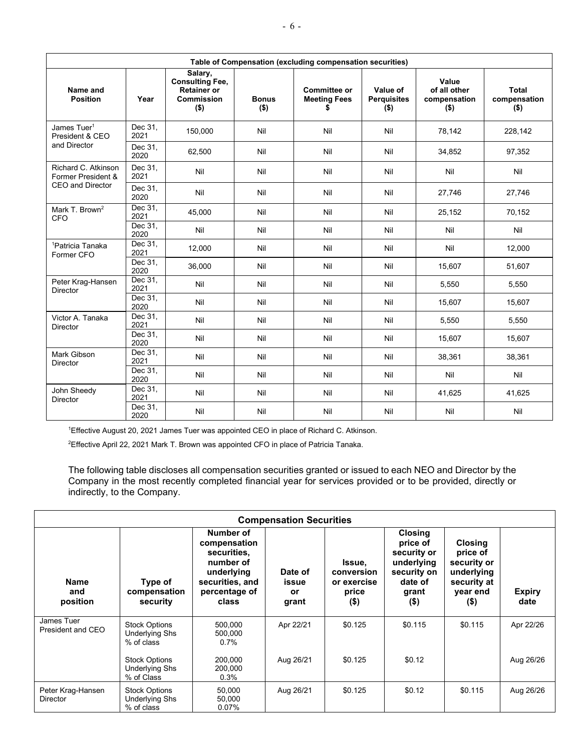| Table of Compensation (excluding compensation securities) |                              |                                                                                  |                         |                                                  |                                           |                                                  |                                         |
|-----------------------------------------------------------|------------------------------|----------------------------------------------------------------------------------|-------------------------|--------------------------------------------------|-------------------------------------------|--------------------------------------------------|-----------------------------------------|
| Name and<br><b>Position</b>                               | Year                         | Salary,<br><b>Consulting Fee,</b><br><b>Retainer or</b><br>Commission<br>$($ \$) | <b>Bonus</b><br>$($ \$) | <b>Committee or</b><br><b>Meeting Fees</b><br>\$ | Value of<br><b>Perquisites</b><br>$($ \$) | Value<br>of all other<br>compensation<br>$($ \$) | <b>Total</b><br>compensation<br>$($ \$) |
| James Tuer <sup>1</sup><br>President & CEO                | Dec 31,<br>2021              | 150.000                                                                          | Nil                     | Nil                                              | Nil                                       | 78,142                                           | 228,142                                 |
| and Director                                              | Dec 31,<br>2020              | 62,500                                                                           | Nil                     | Nil                                              | Nil                                       | 34,852                                           | 97,352                                  |
| Richard C. Atkinson<br>Former President &                 | Dec 31,<br>2021              | Nil                                                                              | Nil                     | Nil                                              | Nil                                       | Nil                                              | Nil                                     |
| <b>CEO and Director</b>                                   | Dec 31,<br>2020              | Nil                                                                              | Nil                     | Nil                                              | Nil                                       | 27,746                                           | 27,746                                  |
| Mark T. Brown <sup>2</sup><br><b>CFO</b>                  | Dec 31,<br>2021              | 45,000                                                                           | Nil                     | Nil                                              | Nil                                       | 25,152                                           | 70,152                                  |
|                                                           | Dec $31$ ,<br>2020           | Nil                                                                              | Nil                     | Nil                                              | Nil                                       | Nil                                              | Nil                                     |
| <sup>1</sup> Patricia Tanaka<br>Former CFO                | $\overline{Dec}$ 31,<br>2021 | 12,000                                                                           | Nil                     | Nil                                              | Nil                                       | Nil                                              | 12,000                                  |
|                                                           | Dec 31,<br>2020              | 36,000                                                                           | Nil                     | Nil                                              | Nil                                       | 15,607                                           | 51,607                                  |
| Peter Krag-Hansen<br>Director                             | Dec 31,<br>2021              | Nil                                                                              | Nil                     | Nil                                              | Nil                                       | 5,550                                            | 5,550                                   |
|                                                           | Dec 31,<br>2020              | Nil                                                                              | Nil                     | Nil                                              | Nil                                       | 15,607                                           | 15,607                                  |
| Victor A. Tanaka<br>Director                              | Dec 31,<br>2021              | Nil                                                                              | Nil                     | Nil                                              | Nil                                       | 5.550                                            | 5,550                                   |
|                                                           | Dec 31,<br>2020              | Nil                                                                              | Nil                     | Nil                                              | Nil                                       | 15,607                                           | 15,607                                  |
| <b>Mark Gibson</b><br>Director                            | Dec 31,<br>2021              | Nil                                                                              | Nil                     | Nil                                              | Nil                                       | 38,361                                           | 38,361                                  |
|                                                           | Dec 31,<br>2020              | Nil                                                                              | Nil                     | Nil                                              | Nil                                       | Nil                                              | Nil                                     |
| John Sheedy<br>Director                                   | Dec 31.<br>2021              | Nil                                                                              | Nil                     | Nil                                              | Nil                                       | 41,625                                           | 41,625                                  |
|                                                           | Dec 31,<br>2020              | Nil                                                                              | Nil                     | Nil                                              | Nil                                       | Nil                                              | Nil                                     |

1 Effective August 20, 2021 James Tuer was appointed CEO in place of Richard C. Atkinson.

2 Effective April 22, 2021 Mark T. Brown was appointed CFO in place of Patricia Tanaka.

The following table discloses all compensation securities granted or issued to each NEO and Director by the Company in the most recently completed financial year for services provided or to be provided, directly or indirectly, to the Company.

|                                 | <b>Compensation Securities</b>                              |                                                                                                                  |                                 |                                                         |                                                                                                       |                                                                                               |                       |
|---------------------------------|-------------------------------------------------------------|------------------------------------------------------------------------------------------------------------------|---------------------------------|---------------------------------------------------------|-------------------------------------------------------------------------------------------------------|-----------------------------------------------------------------------------------------------|-----------------------|
| <b>Name</b><br>and<br>position  | Type of<br>compensation<br>security                         | Number of<br>compensation<br>securities.<br>number of<br>underlying<br>securities, and<br>percentage of<br>class | Date of<br>issue<br>or<br>grant | Issue,<br>conversion<br>or exercise<br>price<br>$($ \$) | <b>Closing</b><br>price of<br>security or<br>underlying<br>security on<br>date of<br>grant<br>$($ \$) | <b>Closing</b><br>price of<br>security or<br>underlying<br>security at<br>year end<br>$($ \$) | <b>Expiry</b><br>date |
| James Tuer<br>President and CEO | <b>Stock Options</b><br><b>Underlying Shs</b><br>% of class | 500,000<br>500,000<br>$0.7\%$                                                                                    | Apr 22/21                       | \$0.125                                                 | \$0.115                                                                                               | \$0.115                                                                                       | Apr 22/26             |
|                                 | <b>Stock Options</b><br><b>Underlying Shs</b><br>% of Class | 200,000<br>200.000<br>$0.3\%$                                                                                    | Aug 26/21                       | \$0.125                                                 | \$0.12                                                                                                |                                                                                               | Aug 26/26             |
| Peter Krag-Hansen<br>Director   | <b>Stock Options</b><br>Underlying Shs<br>% of class        | 50.000<br>50.000<br>0.07%                                                                                        | Aug 26/21                       | \$0.125                                                 | \$0.12                                                                                                | \$0.115                                                                                       | Aug 26/26             |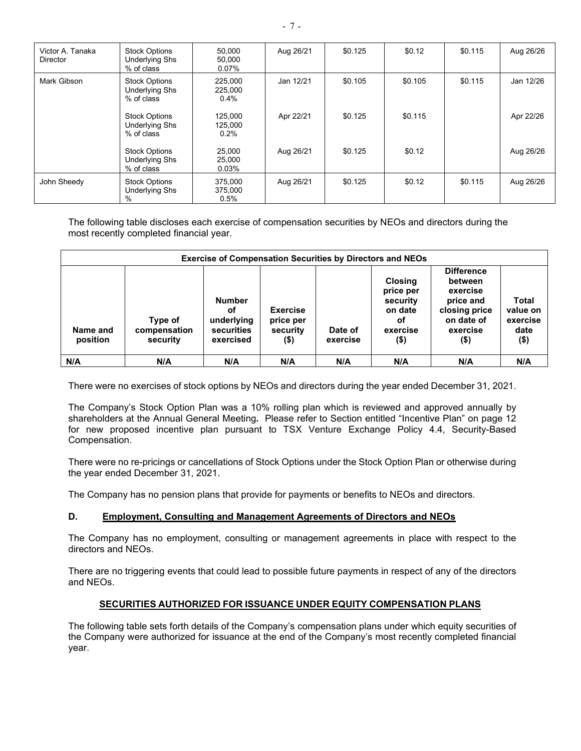| Victor A. Tanaka<br><b>Director</b> | <b>Stock Options</b><br>Underlying Shs<br>% of class        | 50,000<br>50,000<br>0.07%  | Aug 26/21 | \$0.125 | \$0.12  | \$0.115 | Aug 26/26 |
|-------------------------------------|-------------------------------------------------------------|----------------------------|-----------|---------|---------|---------|-----------|
| Mark Gibson                         | <b>Stock Options</b><br>Underlying Shs<br>% of class        | 225,000<br>225,000<br>0.4% | Jan 12/21 | \$0.105 | \$0.105 | \$0.115 | Jan 12/26 |
|                                     | <b>Stock Options</b><br><b>Underlying Shs</b><br>% of class | 125,000<br>125,000<br>0.2% | Apr 22/21 | \$0.125 | \$0.115 |         | Apr 22/26 |
|                                     | <b>Stock Options</b><br><b>Underlying Shs</b><br>% of class | 25,000<br>25,000<br>0.03%  | Aug 26/21 | \$0.125 | \$0.12  |         | Aug 26/26 |
| John Sheedy                         | <b>Stock Options</b><br><b>Underlying Shs</b><br>$\%$       | 375,000<br>375,000<br>0.5% | Aug 26/21 | \$0.125 | \$0.12  | \$0.115 | Aug 26/26 |

The following table discloses each exercise of compensation securities by NEOs and directors during the most recently completed financial year.

|                      | <b>Exercise of Compensation Securities by Directors and NEOs</b> |                                                                     |                                                     |                     |                                                                                 |                                                                                                             |                                                         |
|----------------------|------------------------------------------------------------------|---------------------------------------------------------------------|-----------------------------------------------------|---------------------|---------------------------------------------------------------------------------|-------------------------------------------------------------------------------------------------------------|---------------------------------------------------------|
| Name and<br>position | Type of<br>compensation<br>security                              | <b>Number</b><br>оf<br>underlying<br><b>securities</b><br>exercised | <b>Exercise</b><br>price per<br>security<br>$($ \$) | Date of<br>exercise | <b>Closing</b><br>price per<br>security<br>on date<br>оf<br>exercise<br>$($ \$) | <b>Difference</b><br>between<br>exercise<br>price and<br>closing price<br>on date of<br>exercise<br>$($ \$) | <b>Total</b><br>value on<br>exercise<br>date<br>$($ \$) |
| N/A                  | N/A                                                              | N/A                                                                 | N/A                                                 | N/A                 | N/A                                                                             | N/A                                                                                                         | N/A                                                     |

There were no exercises of stock options by NEOs and directors during the year ended December 31, 2021.

The Company's Stock Option Plan was a 10% rolling plan which is reviewed and approved annually by shareholders at the Annual General Meeting**.** Please refer to Section entitled "Incentive Plan" on page 12 for new proposed incentive plan pursuant to TSX Venture Exchange Policy 4.4, Security-Based Compensation.

There were no re-pricings or cancellations of Stock Options under the Stock Option Plan or otherwise during the year ended December 31, 2021.

The Company has no pension plans that provide for payments or benefits to NEOs and directors.

# **D. Employment, Consulting and Management Agreements of Directors and NEOs**

The Company has no employment, consulting or management agreements in place with respect to the directors and NEOs.

There are no triggering events that could lead to possible future payments in respect of any of the directors and NEOs.

# **SECURITIES AUTHORIZED FOR ISSUANCE UNDER EQUITY COMPENSATION PLANS**

The following table sets forth details of the Company's compensation plans under which equity securities of the Company were authorized for issuance at the end of the Company's most recently completed financial year.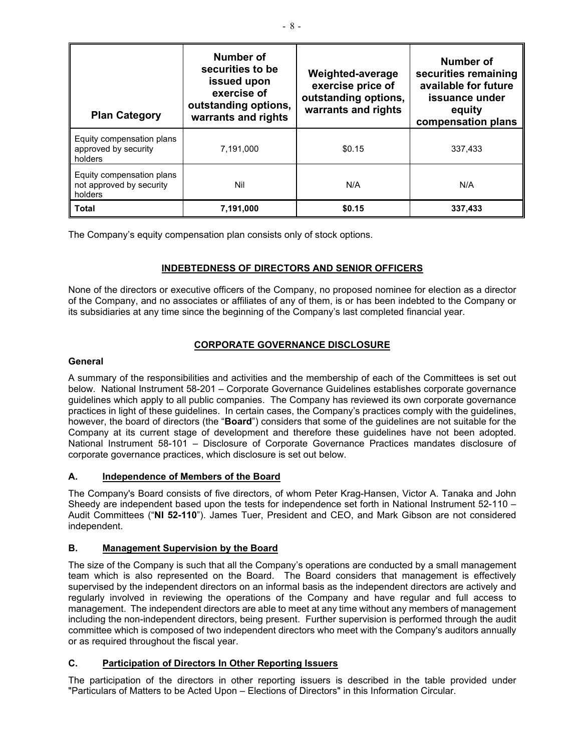| <b>Plan Category</b>                                             | Number of<br>securities to be<br>issued upon<br>exercise of<br>outstanding options,<br>warrants and rights | Weighted-average<br>exercise price of<br>outstanding options,<br>warrants and rights | Number of<br>securities remaining<br>available for future<br>issuance under<br>equity<br>compensation plans |
|------------------------------------------------------------------|------------------------------------------------------------------------------------------------------------|--------------------------------------------------------------------------------------|-------------------------------------------------------------------------------------------------------------|
| Equity compensation plans<br>approved by security<br>holders     | 7,191,000                                                                                                  | \$0.15                                                                               | 337.433                                                                                                     |
| Equity compensation plans<br>not approved by security<br>holders | Nil                                                                                                        | N/A                                                                                  | N/A                                                                                                         |
| <b>Total</b>                                                     | 7,191,000                                                                                                  | \$0.15                                                                               | 337,433                                                                                                     |

The Company's equity compensation plan consists only of stock options.

# **INDEBTEDNESS OF DIRECTORS AND SENIOR OFFICERS**

None of the directors or executive officers of the Company, no proposed nominee for election as a director of the Company, and no associates or affiliates of any of them, is or has been indebted to the Company or its subsidiaries at any time since the beginning of the Company's last completed financial year.

# **CORPORATE GOVERNANCE DISCLOSURE**

# **General**

A summary of the responsibilities and activities and the membership of each of the Committees is set out below. National Instrument 58-201 – Corporate Governance Guidelines establishes corporate governance guidelines which apply to all public companies. The Company has reviewed its own corporate governance practices in light of these guidelines. In certain cases, the Company's practices comply with the guidelines, however, the board of directors (the "**Board**") considers that some of the guidelines are not suitable for the Company at its current stage of development and therefore these guidelines have not been adopted. National Instrument 58-101 – Disclosure of Corporate Governance Practices mandates disclosure of corporate governance practices, which disclosure is set out below.

# **A. Independence of Members of the Board**

The Company's Board consists of five directors, of whom Peter Krag-Hansen, Victor A. Tanaka and John Sheedy are independent based upon the tests for independence set forth in National Instrument 52-110 – Audit Committees ("**NI 52-110**"). James Tuer, President and CEO, and Mark Gibson are not considered independent.

# **B. Management Supervision by the Board**

The size of the Company is such that all the Company's operations are conducted by a small management team which is also represented on the Board. The Board considers that management is effectively supervised by the independent directors on an informal basis as the independent directors are actively and regularly involved in reviewing the operations of the Company and have regular and full access to management. The independent directors are able to meet at any time without any members of management including the non-independent directors, being present. Further supervision is performed through the audit committee which is composed of two independent directors who meet with the Company's auditors annually or as required throughout the fiscal year.

# **C. Participation of Directors In Other Reporting Issuers**

The participation of the directors in other reporting issuers is described in the table provided under "Particulars of Matters to be Acted Upon – Elections of Directors" in this Information Circular.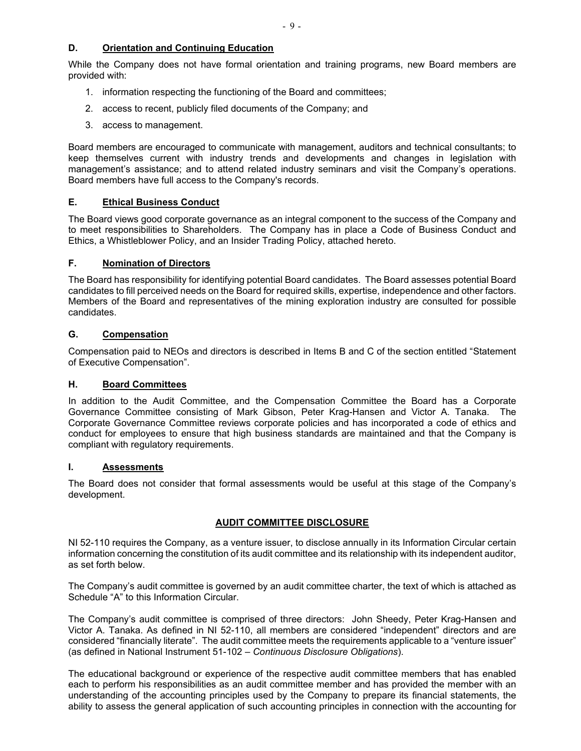# **D. Orientation and Continuing Education**

While the Company does not have formal orientation and training programs, new Board members are provided with:

- 1. information respecting the functioning of the Board and committees;
- 2. access to recent, publicly filed documents of the Company; and
- 3. access to management.

Board members are encouraged to communicate with management, auditors and technical consultants; to keep themselves current with industry trends and developments and changes in legislation with management's assistance; and to attend related industry seminars and visit the Company's operations. Board members have full access to the Company's records.

# **E. Ethical Business Conduct**

The Board views good corporate governance as an integral component to the success of the Company and to meet responsibilities to Shareholders. The Company has in place a Code of Business Conduct and Ethics, a Whistleblower Policy, and an Insider Trading Policy, attached hereto.

# **F. Nomination of Directors**

The Board has responsibility for identifying potential Board candidates. The Board assesses potential Board candidates to fill perceived needs on the Board for required skills, expertise, independence and other factors. Members of the Board and representatives of the mining exploration industry are consulted for possible candidates.

# **G. Compensation**

Compensation paid to NEOs and directors is described in Items B and C of the section entitled "Statement of Executive Compensation".

# **H. Board Committees**

In addition to the Audit Committee, and the Compensation Committee the Board has a Corporate Governance Committee consisting of Mark Gibson, Peter Krag-Hansen and Victor A. Tanaka. The Corporate Governance Committee reviews corporate policies and has incorporated a code of ethics and conduct for employees to ensure that high business standards are maintained and that the Company is compliant with regulatory requirements.

# **I. Assessments**

The Board does not consider that formal assessments would be useful at this stage of the Company's development.

# **AUDIT COMMITTEE DISCLOSURE**

NI 52-110 requires the Company, as a venture issuer, to disclose annually in its Information Circular certain information concerning the constitution of its audit committee and its relationship with its independent auditor, as set forth below.

The Company's audit committee is governed by an audit committee charter, the text of which is attached as Schedule "A" to this Information Circular.

The Company's audit committee is comprised of three directors: John Sheedy, Peter Krag-Hansen and Victor A. Tanaka. As defined in NI 52-110, all members are considered "independent" directors and are considered "financially literate". The audit committee meets the requirements applicable to a "venture issuer" (as defined in National Instrument 51-102 – *Continuous Disclosure Obligations*).

The educational background or experience of the respective audit committee members that has enabled each to perform his responsibilities as an audit committee member and has provided the member with an understanding of the accounting principles used by the Company to prepare its financial statements, the ability to assess the general application of such accounting principles in connection with the accounting for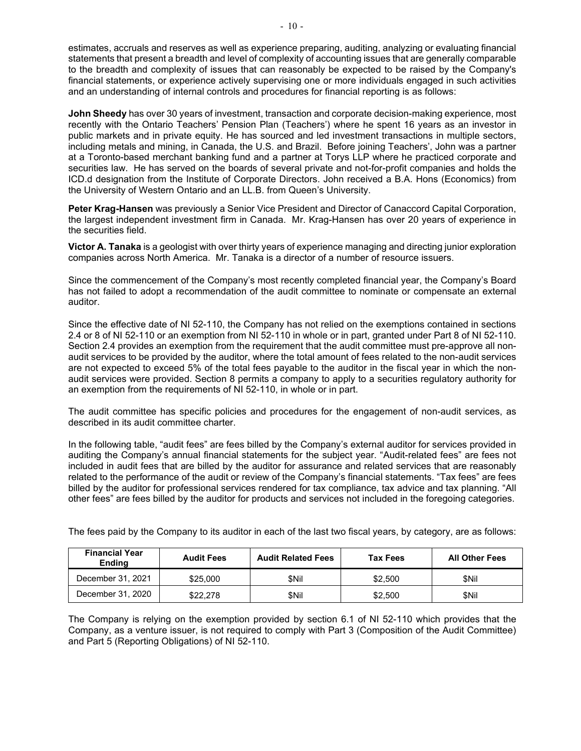estimates, accruals and reserves as well as experience preparing, auditing, analyzing or evaluating financial statements that present a breadth and level of complexity of accounting issues that are generally comparable to the breadth and complexity of issues that can reasonably be expected to be raised by the Company's financial statements, or experience actively supervising one or more individuals engaged in such activities and an understanding of internal controls and procedures for financial reporting is as follows:

**John Sheedy** has over 30 years of investment, transaction and corporate decision-making experience, most recently with the Ontario Teachers' Pension Plan (Teachers') where he spent 16 years as an investor in public markets and in private equity. He has sourced and led investment transactions in multiple sectors, including metals and mining, in Canada, the U.S. and Brazil. Before joining Teachers', John was a partner at a Toronto-based merchant banking fund and a partner at Torys LLP where he practiced corporate and securities law. He has served on the boards of several private and not-for-profit companies and holds the ICD.d designation from the Institute of Corporate Directors. John received a B.A. Hons (Economics) from the University of Western Ontario and an LL.B. from Queen's University.

**Peter Krag-Hansen** was previously a Senior Vice President and Director of Canaccord Capital Corporation, the largest independent investment firm in Canada. Mr. Krag-Hansen has over 20 years of experience in the securities field.

**Victor A. Tanaka** is a geologist with over thirty years of experience managing and directing junior exploration companies across North America. Mr. Tanaka is a director of a number of resource issuers.

Since the commencement of the Company's most recently completed financial year, the Company's Board has not failed to adopt a recommendation of the audit committee to nominate or compensate an external auditor.

Since the effective date of NI 52-110, the Company has not relied on the exemptions contained in sections 2.4 or 8 of NI 52-110 or an exemption from NI 52-110 in whole or in part, granted under Part 8 of NI 52-110. Section 2.4 provides an exemption from the requirement that the audit committee must pre-approve all nonaudit services to be provided by the auditor, where the total amount of fees related to the non-audit services are not expected to exceed 5% of the total fees payable to the auditor in the fiscal year in which the nonaudit services were provided. Section 8 permits a company to apply to a securities regulatory authority for an exemption from the requirements of NI 52-110, in whole or in part.

The audit committee has specific policies and procedures for the engagement of non-audit services, as described in its audit committee charter.

In the following table, "audit fees" are fees billed by the Company's external auditor for services provided in auditing the Company's annual financial statements for the subject year. "Audit-related fees" are fees not included in audit fees that are billed by the auditor for assurance and related services that are reasonably related to the performance of the audit or review of the Company's financial statements. "Tax fees" are fees billed by the auditor for professional services rendered for tax compliance, tax advice and tax planning. "All other fees" are fees billed by the auditor for products and services not included in the foregoing categories.

| <b>Financial Year</b><br><b>Ending</b> | <b>Audit Fees</b> | <b>Audit Related Fees</b> | Tax Fees | <b>All Other Fees</b> |
|----------------------------------------|-------------------|---------------------------|----------|-----------------------|
| December 31, 2021                      | \$25,000          | \$Nil                     | \$2.500  | \$Nil                 |
| December 31, 2020                      | \$22,278          | \$Nil                     | \$2,500  | \$Nil                 |

The fees paid by the Company to its auditor in each of the last two fiscal years, by category, are as follows:

The Company is relying on the exemption provided by section 6.1 of NI 52-110 which provides that the Company, as a venture issuer, is not required to comply with Part 3 (Composition of the Audit Committee) and Part 5 (Reporting Obligations) of NI 52-110.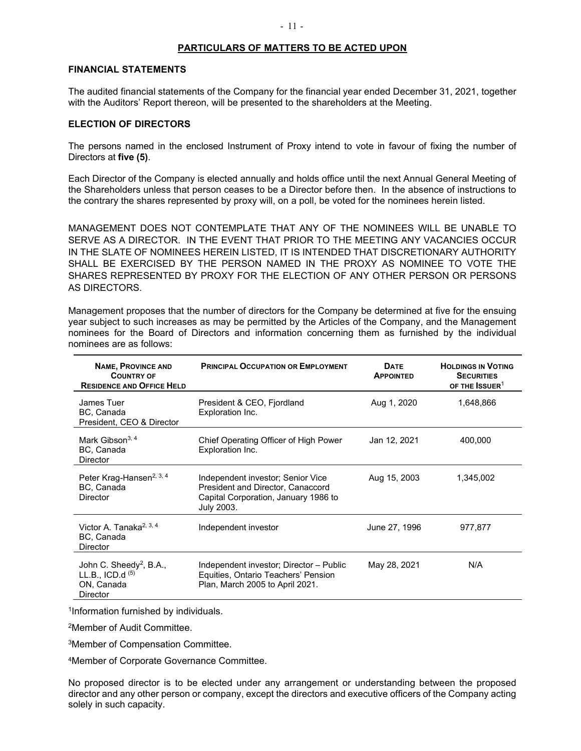#### **PARTICULARS OF MATTERS TO BE ACTED UPON**

#### **FINANCIAL STATEMENTS**

The audited financial statements of the Company for the financial year ended December 31, 2021, together with the Auditors' Report thereon, will be presented to the shareholders at the Meeting.

#### **ELECTION OF DIRECTORS**

The persons named in the enclosed Instrument of Proxy intend to vote in favour of fixing the number of Directors at **five (5)**.

Each Director of the Company is elected annually and holds office until the next Annual General Meeting of the Shareholders unless that person ceases to be a Director before then. In the absence of instructions to the contrary the shares represented by proxy will, on a poll, be voted for the nominees herein listed.

MANAGEMENT DOES NOT CONTEMPLATE THAT ANY OF THE NOMINEES WILL BE UNABLE TO SERVE AS A DIRECTOR. IN THE EVENT THAT PRIOR TO THE MEETING ANY VACANCIES OCCUR IN THE SLATE OF NOMINEES HEREIN LISTED, IT IS INTENDED THAT DISCRETIONARY AUTHORITY SHALL BE EXERCISED BY THE PERSON NAMED IN THE PROXY AS NOMINEE TO VOTE THE SHARES REPRESENTED BY PROXY FOR THE ELECTION OF ANY OTHER PERSON OR PERSONS AS DIRECTORS.

Management proposes that the number of directors for the Company be determined at five for the ensuing year subject to such increases as may be permitted by the Articles of the Company, and the Management nominees for the Board of Directors and information concerning them as furnished by the individual nominees are as follows:

| <b>NAME, PROVINCE AND</b><br><b>COUNTRY OF</b><br><b>RESIDENCE AND OFFICE HELD</b>         | <b>PRINCIPAL OCCUPATION OR EMPLOYMENT</b>                                                                                    | <b>DATE</b><br><b>APPOINTED</b> | <b>HOLDINGS IN VOTING</b><br><b>SECURITIES</b><br>OF THE ISSUER <sup>1</sup> |
|--------------------------------------------------------------------------------------------|------------------------------------------------------------------------------------------------------------------------------|---------------------------------|------------------------------------------------------------------------------|
| James Tuer<br>BC, Canada<br>President, CEO & Director                                      | President & CEO, Fjordland<br>Exploration Inc.                                                                               | Aug 1, 2020                     | 1,648,866                                                                    |
| Mark Gibson <sup>3, 4</sup><br>BC, Canada<br><b>Director</b>                               | Chief Operating Officer of High Power<br>Exploration Inc.                                                                    | Jan 12, 2021                    | 400,000                                                                      |
| Peter Krag-Hansen <sup>2, 3, 4</sup><br>BC, Canada<br><b>Director</b>                      | Independent investor; Senior Vice<br>President and Director, Canaccord<br>Capital Corporation, January 1986 to<br>July 2003. | Aug 15, 2003                    | 1,345,002                                                                    |
| Victor A. Tanaka <sup>2, 3, 4</sup><br>BC, Canada<br><b>Director</b>                       | Independent investor                                                                                                         | June 27, 1996                   | 977,877                                                                      |
| John C. Sheedy <sup>2</sup> , B.A.,<br>LL.B., ICD.d $(5)$<br>ON, Canada<br><b>Director</b> | Independent investor; Director - Public<br>Equities, Ontario Teachers' Pension<br>Plan, March 2005 to April 2021.            | May 28, 2021                    | N/A                                                                          |

1Information furnished by individuals.

2Member of Audit Committee.

3Member of Compensation Committee.

4Member of Corporate Governance Committee.

No proposed director is to be elected under any arrangement or understanding between the proposed director and any other person or company, except the directors and executive officers of the Company acting solely in such capacity.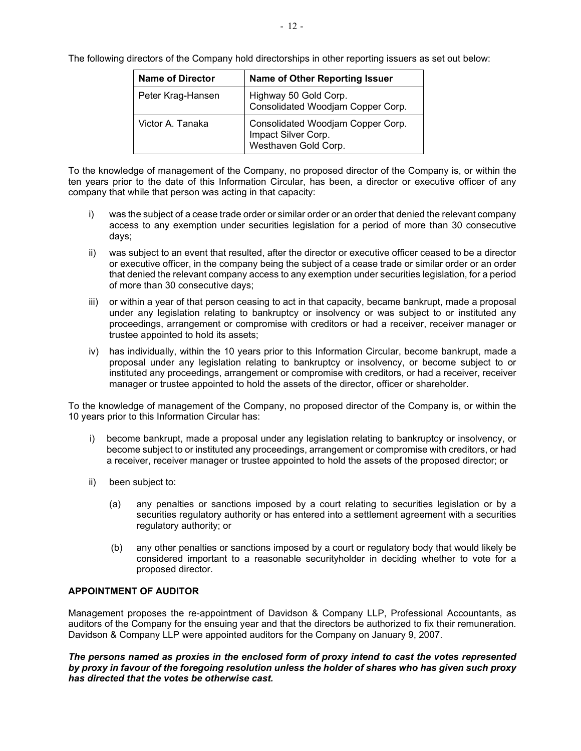| <b>Name of Director</b> | <b>Name of Other Reporting Issuer</b>                                            |
|-------------------------|----------------------------------------------------------------------------------|
| Peter Krag-Hansen       | Highway 50 Gold Corp.<br>Consolidated Woodjam Copper Corp.                       |
| Victor A. Tanaka        | Consolidated Woodjam Copper Corp.<br>Impact Silver Corp.<br>Westhaven Gold Corp. |

The following directors of the Company hold directorships in other reporting issuers as set out below:

To the knowledge of management of the Company, no proposed director of the Company is, or within the ten years prior to the date of this Information Circular, has been, a director or executive officer of any company that while that person was acting in that capacity:

- i) was the subject of a cease trade order or similar order or an order that denied the relevant company access to any exemption under securities legislation for a period of more than 30 consecutive days;
- ii) was subject to an event that resulted, after the director or executive officer ceased to be a director or executive officer, in the company being the subject of a cease trade or similar order or an order that denied the relevant company access to any exemption under securities legislation, for a period of more than 30 consecutive days;
- iii) or within a year of that person ceasing to act in that capacity, became bankrupt, made a proposal under any legislation relating to bankruptcy or insolvency or was subject to or instituted any proceedings, arrangement or compromise with creditors or had a receiver, receiver manager or trustee appointed to hold its assets;
- iv) has individually, within the 10 years prior to this Information Circular, become bankrupt, made a proposal under any legislation relating to bankruptcy or insolvency, or become subject to or instituted any proceedings, arrangement or compromise with creditors, or had a receiver, receiver manager or trustee appointed to hold the assets of the director, officer or shareholder.

To the knowledge of management of the Company, no proposed director of the Company is, or within the 10 years prior to this Information Circular has:

- i) become bankrupt, made a proposal under any legislation relating to bankruptcy or insolvency, or become subject to or instituted any proceedings, arrangement or compromise with creditors, or had a receiver, receiver manager or trustee appointed to hold the assets of the proposed director; or
- ii) been subject to:
	- (a) any penalties or sanctions imposed by a court relating to securities legislation or by a securities regulatory authority or has entered into a settlement agreement with a securities regulatory authority; or
	- (b) any other penalties or sanctions imposed by a court or regulatory body that would likely be considered important to a reasonable securityholder in deciding whether to vote for a proposed director.

# **APPOINTMENT OF AUDITOR**

Management proposes the re-appointment of Davidson & Company LLP, Professional Accountants, as auditors of the Company for the ensuing year and that the directors be authorized to fix their remuneration. Davidson & Company LLP were appointed auditors for the Company on January 9, 2007.

*The persons named as proxies in the enclosed form of proxy intend to cast the votes represented by proxy in favour of the foregoing resolution unless the holder of shares who has given such proxy has directed that the votes be otherwise cast.*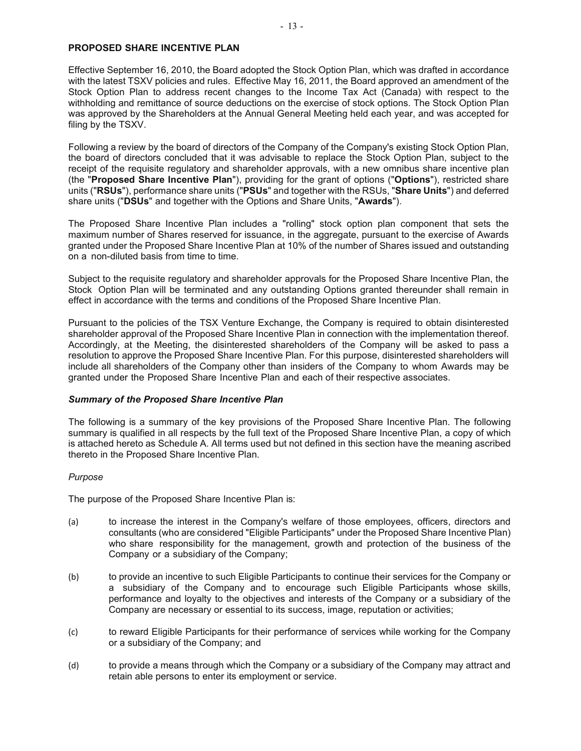# **PROPOSED SHARE INCENTIVE PLAN**

Effective September 16, 2010, the Board adopted the Stock Option Plan, which was drafted in accordance with the latest TSXV policies and rules. Effective May 16, 2011, the Board approved an amendment of the Stock Option Plan to address recent changes to the Income Tax Act (Canada) with respect to the withholding and remittance of source deductions on the exercise of stock options. The Stock Option Plan was approved by the Shareholders at the Annual General Meeting held each year, and was accepted for filing by the TSXV.

Following a review by the board of directors of the Company of the Company's existing Stock Option Plan, the board of directors concluded that it was advisable to replace the Stock Option Plan, subject to the receipt of the requisite regulatory and shareholder approvals, with a new omnibus share incentive plan (the "**Proposed Share Incentive Plan**"), providing for the grant of options ("**Options**"), restricted share units ("**RSUs**"), performance share units ("**PSUs**" and together with the RSUs, "**Share Units**") and deferred share units ("**DSUs**" and together with the Options and Share Units, "**Awards**").

The Proposed Share Incentive Plan includes a "rolling" stock option plan component that sets the maximum number of Shares reserved for issuance, in the aggregate, pursuant to the exercise of Awards granted under the Proposed Share Incentive Plan at 10% of the number of Shares issued and outstanding on a non-diluted basis from time to time.

Subject to the requisite regulatory and shareholder approvals for the Proposed Share Incentive Plan, the Stock Option Plan will be terminated and any outstanding Options granted thereunder shall remain in effect in accordance with the terms and conditions of the Proposed Share Incentive Plan.

Pursuant to the policies of the TSX Venture Exchange, the Company is required to obtain disinterested shareholder approval of the Proposed Share Incentive Plan in connection with the implementation thereof. Accordingly, at the Meeting, the disinterested shareholders of the Company will be asked to pass a resolution to approve the Proposed Share Incentive Plan. For this purpose, disinterested shareholders will include all shareholders of the Company other than insiders of the Company to whom Awards may be granted under the Proposed Share Incentive Plan and each of their respective associates.

# *Summary of the Proposed Share Incentive Plan*

The following is a summary of the key provisions of the Proposed Share Incentive Plan. The following summary is qualified in all respects by the full text of the Proposed Share Incentive Plan, a copy of which is attached hereto as Schedule A. All terms used but not defined in this section have the meaning ascribed thereto in the Proposed Share Incentive Plan.

# *Purpose*

The purpose of the Proposed Share Incentive Plan is:

- (a) to increase the interest in the Company's welfare of those employees, officers, directors and consultants (who are considered "Eligible Participants" under the Proposed Share Incentive Plan) who share responsibility for the management, growth and protection of the business of the Company or a subsidiary of the Company;
- (b) to provide an incentive to such Eligible Participants to continue their services for the Company or a subsidiary of the Company and to encourage such Eligible Participants whose skills, performance and loyalty to the objectives and interests of the Company or a subsidiary of the Company are necessary or essential to its success, image, reputation or activities;
- (c) to reward Eligible Participants for their performance of services while working for the Company or a subsidiary of the Company; and
- (d) to provide a means through which the Company or a subsidiary of the Company may attract and retain able persons to enter its employment or service.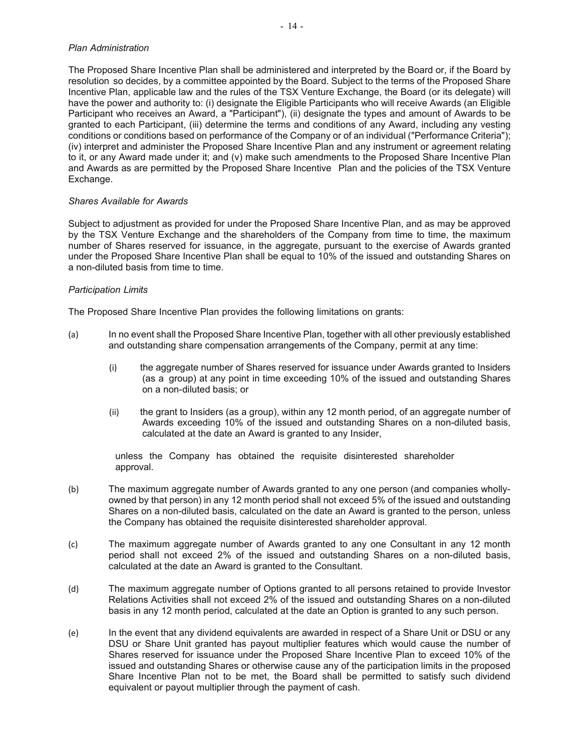# *Plan Administration*

The Proposed Share Incentive Plan shall be administered and interpreted by the Board or, if the Board by resolution so decides, by a committee appointed by the Board. Subject to the terms of the Proposed Share Incentive Plan, applicable law and the rules of the TSX Venture Exchange, the Board (or its delegate) will have the power and authority to: (i) designate the Eligible Participants who will receive Awards (an Eligible Participant who receives an Award, a "Participant"), (ii) designate the types and amount of Awards to be granted to each Participant, (iii) determine the terms and conditions of any Award, including any vesting conditions or conditions based on performance of the Company or of an individual ("Performance Criteria"); (iv) interpret and administer the Proposed Share Incentive Plan and any instrument or agreement relating to it, or any Award made under it; and (v) make such amendments to the Proposed Share Incentive Plan and Awards as are permitted by the Proposed Share Incentive Plan and the policies of the TSX Venture Exchange.

#### *Shares Available for Awards*

Subject to adjustment as provided for under the Proposed Share Incentive Plan, and as may be approved by the TSX Venture Exchange and the shareholders of the Company from time to time, the maximum number of Shares reserved for issuance, in the aggregate, pursuant to the exercise of Awards granted under the Proposed Share Incentive Plan shall be equal to 10% of the issued and outstanding Shares on a non-diluted basis from time to time.

#### *Participation Limits*

The Proposed Share Incentive Plan provides the following limitations on grants:

- (a) In no event shall the Proposed Share Incentive Plan, together with all other previously established and outstanding share compensation arrangements of the Company, permit at any time:
	- (i) the aggregate number of Shares reserved for issuance under Awards granted to Insiders (as a group) at any point in time exceeding 10% of the issued and outstanding Shares on a non-diluted basis; or
	- (ii) the grant to Insiders (as a group), within any 12 month period, of an aggregate number of Awards exceeding 10% of the issued and outstanding Shares on a non-diluted basis, calculated at the date an Award is granted to any Insider,

unless the Company has obtained the requisite disinterested shareholder approval.

- (b) The maximum aggregate number of Awards granted to any one person (and companies whollyowned by that person) in any 12 month period shall not exceed 5% of the issued and outstanding Shares on a non-diluted basis, calculated on the date an Award is granted to the person, unless the Company has obtained the requisite disinterested shareholder approval.
- (c) The maximum aggregate number of Awards granted to any one Consultant in any 12 month period shall not exceed 2% of the issued and outstanding Shares on a non-diluted basis, calculated at the date an Award is granted to the Consultant.
- (d) The maximum aggregate number of Options granted to all persons retained to provide Investor Relations Activities shall not exceed 2% of the issued and outstanding Shares on a non-diluted basis in any 12 month period, calculated at the date an Option is granted to any such person.
- (e) In the event that any dividend equivalents are awarded in respect of a Share Unit or DSU or any DSU or Share Unit granted has payout multiplier features which would cause the number of Shares reserved for issuance under the Proposed Share Incentive Plan to exceed 10% of the issued and outstanding Shares or otherwise cause any of the participation limits in the proposed Share Incentive Plan not to be met, the Board shall be permitted to satisfy such dividend equivalent or payout multiplier through the payment of cash.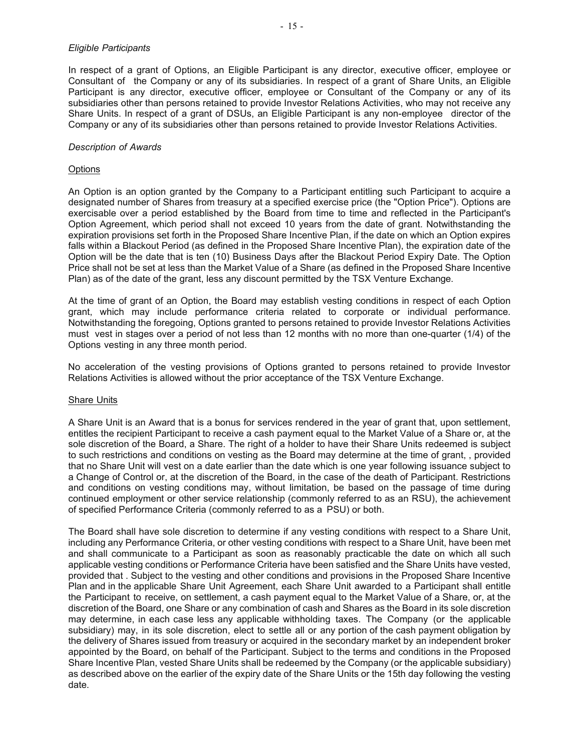#### *Eligible Participants*

In respect of a grant of Options, an Eligible Participant is any director, executive officer, employee or Consultant of the Company or any of its subsidiaries. In respect of a grant of Share Units, an Eligible Participant is any director, executive officer, employee or Consultant of the Company or any of its subsidiaries other than persons retained to provide Investor Relations Activities, who may not receive any Share Units. In respect of a grant of DSUs, an Eligible Participant is any non-employee director of the Company or any of its subsidiaries other than persons retained to provide Investor Relations Activities.

#### *Description of Awards*

#### **Options**

An Option is an option granted by the Company to a Participant entitling such Participant to acquire a designated number of Shares from treasury at a specified exercise price (the "Option Price"). Options are exercisable over a period established by the Board from time to time and reflected in the Participant's Option Agreement, which period shall not exceed 10 years from the date of grant. Notwithstanding the expiration provisions set forth in the Proposed Share Incentive Plan, if the date on which an Option expires falls within a Blackout Period (as defined in the Proposed Share Incentive Plan), the expiration date of the Option will be the date that is ten (10) Business Days after the Blackout Period Expiry Date. The Option Price shall not be set at less than the Market Value of a Share (as defined in the Proposed Share Incentive Plan) as of the date of the grant, less any discount permitted by the TSX Venture Exchange.

At the time of grant of an Option, the Board may establish vesting conditions in respect of each Option grant, which may include performance criteria related to corporate or individual performance. Notwithstanding the foregoing, Options granted to persons retained to provide Investor Relations Activities must vest in stages over a period of not less than 12 months with no more than one-quarter (1/4) of the Options vesting in any three month period.

No acceleration of the vesting provisions of Options granted to persons retained to provide Investor Relations Activities is allowed without the prior acceptance of the TSX Venture Exchange.

#### Share Units

A Share Unit is an Award that is a bonus for services rendered in the year of grant that, upon settlement, entitles the recipient Participant to receive a cash payment equal to the Market Value of a Share or, at the sole discretion of the Board, a Share. The right of a holder to have their Share Units redeemed is subject to such restrictions and conditions on vesting as the Board may determine at the time of grant, , provided that no Share Unit will vest on a date earlier than the date which is one year following issuance subject to a Change of Control or, at the discretion of the Board, in the case of the death of Participant. Restrictions and conditions on vesting conditions may, without limitation, be based on the passage of time during continued employment or other service relationship (commonly referred to as an RSU), the achievement of specified Performance Criteria (commonly referred to as a PSU) or both.

The Board shall have sole discretion to determine if any vesting conditions with respect to a Share Unit, including any Performance Criteria, or other vesting conditions with respect to a Share Unit, have been met and shall communicate to a Participant as soon as reasonably practicable the date on which all such applicable vesting conditions or Performance Criteria have been satisfied and the Share Units have vested, provided that . Subject to the vesting and other conditions and provisions in the Proposed Share Incentive Plan and in the applicable Share Unit Agreement, each Share Unit awarded to a Participant shall entitle the Participant to receive, on settlement, a cash payment equal to the Market Value of a Share, or, at the discretion of the Board, one Share or any combination of cash and Shares as the Board in its sole discretion may determine, in each case less any applicable withholding taxes. The Company (or the applicable subsidiary) may, in its sole discretion, elect to settle all or any portion of the cash payment obligation by the delivery of Shares issued from treasury or acquired in the secondary market by an independent broker appointed by the Board, on behalf of the Participant. Subject to the terms and conditions in the Proposed Share Incentive Plan, vested Share Units shall be redeemed by the Company (or the applicable subsidiary) as described above on the earlier of the expiry date of the Share Units or the 15th day following the vesting date.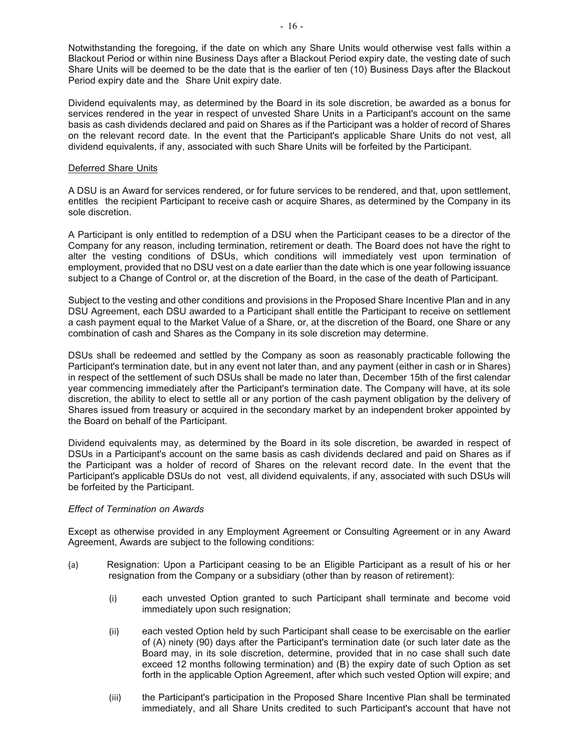Notwithstanding the foregoing, if the date on which any Share Units would otherwise vest falls within a Blackout Period or within nine Business Days after a Blackout Period expiry date, the vesting date of such Share Units will be deemed to be the date that is the earlier of ten (10) Business Days after the Blackout Period expiry date and the Share Unit expiry date.

Dividend equivalents may, as determined by the Board in its sole discretion, be awarded as a bonus for services rendered in the year in respect of unvested Share Units in a Participant's account on the same basis as cash dividends declared and paid on Shares as if the Participant was a holder of record of Shares on the relevant record date. In the event that the Participant's applicable Share Units do not vest, all dividend equivalents, if any, associated with such Share Units will be forfeited by the Participant.

#### Deferred Share Units

A DSU is an Award for services rendered, or for future services to be rendered, and that, upon settlement, entitles the recipient Participant to receive cash or acquire Shares, as determined by the Company in its sole discretion.

A Participant is only entitled to redemption of a DSU when the Participant ceases to be a director of the Company for any reason, including termination, retirement or death. The Board does not have the right to alter the vesting conditions of DSUs, which conditions will immediately vest upon termination of employment, provided that no DSU vest on a date earlier than the date which is one year following issuance subject to a Change of Control or, at the discretion of the Board, in the case of the death of Participant.

Subject to the vesting and other conditions and provisions in the Proposed Share Incentive Plan and in any DSU Agreement, each DSU awarded to a Participant shall entitle the Participant to receive on settlement a cash payment equal to the Market Value of a Share, or, at the discretion of the Board, one Share or any combination of cash and Shares as the Company in its sole discretion may determine.

DSUs shall be redeemed and settled by the Company as soon as reasonably practicable following the Participant's termination date, but in any event not later than, and any payment (either in cash or in Shares) in respect of the settlement of such DSUs shall be made no later than, December 15th of the first calendar year commencing immediately after the Participant's termination date. The Company will have, at its sole discretion, the ability to elect to settle all or any portion of the cash payment obligation by the delivery of Shares issued from treasury or acquired in the secondary market by an independent broker appointed by the Board on behalf of the Participant.

Dividend equivalents may, as determined by the Board in its sole discretion, be awarded in respect of DSUs in a Participant's account on the same basis as cash dividends declared and paid on Shares as if the Participant was a holder of record of Shares on the relevant record date. In the event that the Participant's applicable DSUs do not vest, all dividend equivalents, if any, associated with such DSUs will be forfeited by the Participant.

# *Effect of Termination on Awards*

Except as otherwise provided in any Employment Agreement or Consulting Agreement or in any Award Agreement, Awards are subject to the following conditions:

- (a) Resignation: Upon a Participant ceasing to be an Eligible Participant as a result of his or her resignation from the Company or a subsidiary (other than by reason of retirement):
	- (i) each unvested Option granted to such Participant shall terminate and become void immediately upon such resignation;
	- (ii) each vested Option held by such Participant shall cease to be exercisable on the earlier of (A) ninety (90) days after the Participant's termination date (or such later date as the Board may, in its sole discretion, determine, provided that in no case shall such date exceed 12 months following termination) and (B) the expiry date of such Option as set forth in the applicable Option Agreement, after which such vested Option will expire; and
	- (iii) the Participant's participation in the Proposed Share Incentive Plan shall be terminated immediately, and all Share Units credited to such Participant's account that have not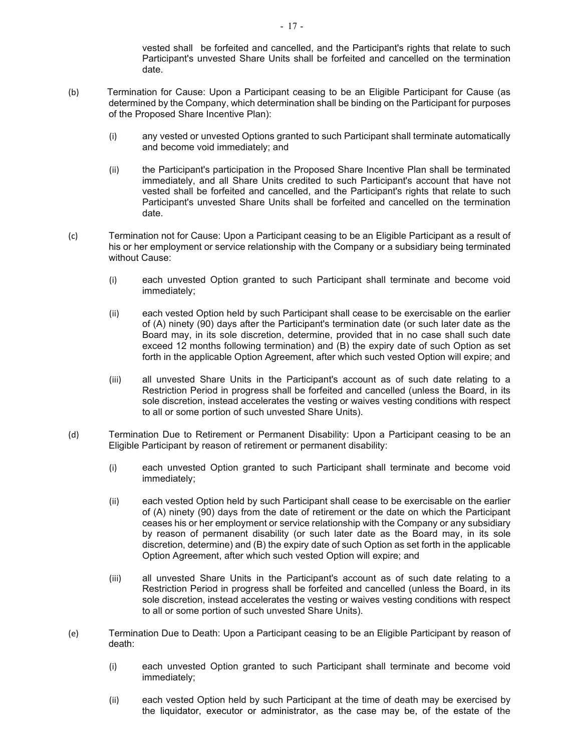vested shall be forfeited and cancelled, and the Participant's rights that relate to such Participant's unvested Share Units shall be forfeited and cancelled on the termination date.

- (b) Termination for Cause: Upon a Participant ceasing to be an Eligible Participant for Cause (as determined by the Company, which determination shall be binding on the Participant for purposes of the Proposed Share Incentive Plan):
	- (i) any vested or unvested Options granted to such Participant shall terminate automatically and become void immediately; and
	- (ii) the Participant's participation in the Proposed Share Incentive Plan shall be terminated immediately, and all Share Units credited to such Participant's account that have not vested shall be forfeited and cancelled, and the Participant's rights that relate to such Participant's unvested Share Units shall be forfeited and cancelled on the termination date.
- (c) Termination not for Cause: Upon a Participant ceasing to be an Eligible Participant as a result of his or her employment or service relationship with the Company or a subsidiary being terminated without Cause:
	- (i) each unvested Option granted to such Participant shall terminate and become void immediately;
	- (ii) each vested Option held by such Participant shall cease to be exercisable on the earlier of (A) ninety (90) days after the Participant's termination date (or such later date as the Board may, in its sole discretion, determine, provided that in no case shall such date exceed 12 months following termination) and (B) the expiry date of such Option as set forth in the applicable Option Agreement, after which such vested Option will expire; and
	- (iii) all unvested Share Units in the Participant's account as of such date relating to a Restriction Period in progress shall be forfeited and cancelled (unless the Board, in its sole discretion, instead accelerates the vesting or waives vesting conditions with respect to all or some portion of such unvested Share Units).
- (d) Termination Due to Retirement or Permanent Disability: Upon a Participant ceasing to be an Eligible Participant by reason of retirement or permanent disability:
	- (i) each unvested Option granted to such Participant shall terminate and become void immediately;
	- (ii) each vested Option held by such Participant shall cease to be exercisable on the earlier of (A) ninety (90) days from the date of retirement or the date on which the Participant ceases his or her employment or service relationship with the Company or any subsidiary by reason of permanent disability (or such later date as the Board may, in its sole discretion, determine) and (B) the expiry date of such Option as set forth in the applicable Option Agreement, after which such vested Option will expire; and
	- (iii) all unvested Share Units in the Participant's account as of such date relating to a Restriction Period in progress shall be forfeited and cancelled (unless the Board, in its sole discretion, instead accelerates the vesting or waives vesting conditions with respect to all or some portion of such unvested Share Units).
- (e) Termination Due to Death: Upon a Participant ceasing to be an Eligible Participant by reason of death:
	- (i) each unvested Option granted to such Participant shall terminate and become void immediately;
	- (ii) each vested Option held by such Participant at the time of death may be exercised by the liquidator, executor or administrator, as the case may be, of the estate of the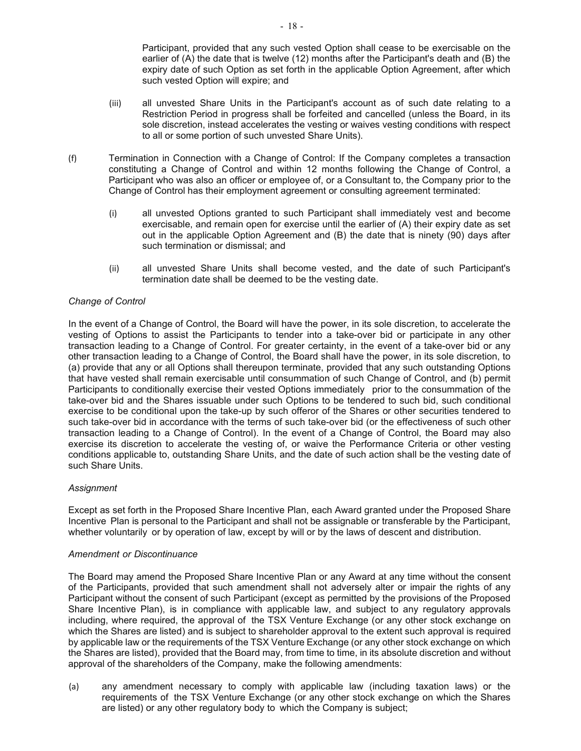Participant, provided that any such vested Option shall cease to be exercisable on the earlier of (A) the date that is twelve (12) months after the Participant's death and (B) the expiry date of such Option as set forth in the applicable Option Agreement, after which such vested Option will expire; and

- (iii) all unvested Share Units in the Participant's account as of such date relating to a Restriction Period in progress shall be forfeited and cancelled (unless the Board, in its sole discretion, instead accelerates the vesting or waives vesting conditions with respect to all or some portion of such unvested Share Units).
- (f) Termination in Connection with a Change of Control: If the Company completes a transaction constituting a Change of Control and within 12 months following the Change of Control, a Participant who was also an officer or employee of, or a Consultant to, the Company prior to the Change of Control has their employment agreement or consulting agreement terminated:
	- (i) all unvested Options granted to such Participant shall immediately vest and become exercisable, and remain open for exercise until the earlier of (A) their expiry date as set out in the applicable Option Agreement and (B) the date that is ninety (90) days after such termination or dismissal; and
	- (ii) all unvested Share Units shall become vested, and the date of such Participant's termination date shall be deemed to be the vesting date.

# *Change of Control*

In the event of a Change of Control, the Board will have the power, in its sole discretion, to accelerate the vesting of Options to assist the Participants to tender into a take-over bid or participate in any other transaction leading to a Change of Control. For greater certainty, in the event of a take-over bid or any other transaction leading to a Change of Control, the Board shall have the power, in its sole discretion, to (a) provide that any or all Options shall thereupon terminate, provided that any such outstanding Options that have vested shall remain exercisable until consummation of such Change of Control, and (b) permit Participants to conditionally exercise their vested Options immediately prior to the consummation of the take-over bid and the Shares issuable under such Options to be tendered to such bid, such conditional exercise to be conditional upon the take-up by such offeror of the Shares or other securities tendered to such take-over bid in accordance with the terms of such take-over bid (or the effectiveness of such other transaction leading to a Change of Control). In the event of a Change of Control, the Board may also exercise its discretion to accelerate the vesting of, or waive the Performance Criteria or other vesting conditions applicable to, outstanding Share Units, and the date of such action shall be the vesting date of such Share Units.

# *Assignment*

Except as set forth in the Proposed Share Incentive Plan, each Award granted under the Proposed Share Incentive Plan is personal to the Participant and shall not be assignable or transferable by the Participant, whether voluntarily or by operation of law, except by will or by the laws of descent and distribution.

# *Amendment or Discontinuance*

The Board may amend the Proposed Share Incentive Plan or any Award at any time without the consent of the Participants, provided that such amendment shall not adversely alter or impair the rights of any Participant without the consent of such Participant (except as permitted by the provisions of the Proposed Share Incentive Plan), is in compliance with applicable law, and subject to any regulatory approvals including, where required, the approval of the TSX Venture Exchange (or any other stock exchange on which the Shares are listed) and is subject to shareholder approval to the extent such approval is required by applicable law or the requirements of the TSX Venture Exchange (or any other stock exchange on which the Shares are listed), provided that the Board may, from time to time, in its absolute discretion and without approval of the shareholders of the Company, make the following amendments:

(a) any amendment necessary to comply with applicable law (including taxation laws) or the requirements of the TSX Venture Exchange (or any other stock exchange on which the Shares are listed) or any other regulatory body to which the Company is subject;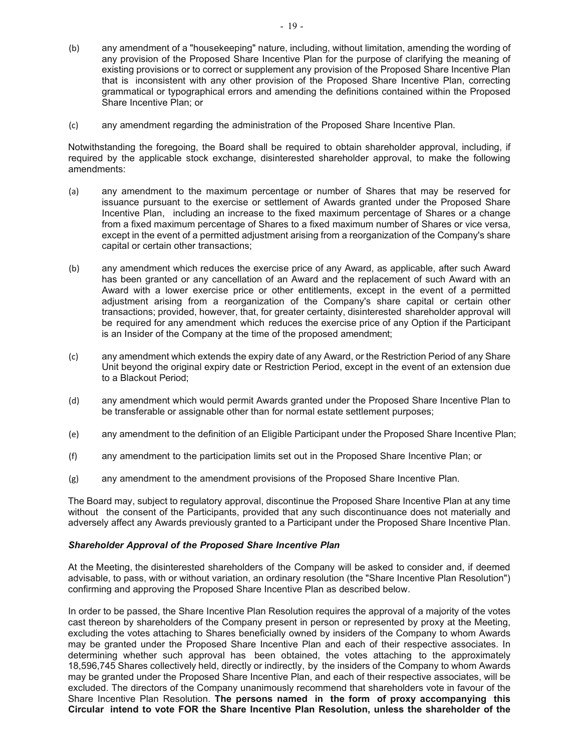- (b) any amendment of a "housekeeping" nature, including, without limitation, amending the wording of any provision of the Proposed Share Incentive Plan for the purpose of clarifying the meaning of existing provisions or to correct or supplement any provision of the Proposed Share Incentive Plan that is inconsistent with any other provision of the Proposed Share Incentive Plan, correcting grammatical or typographical errors and amending the definitions contained within the Proposed Share Incentive Plan; or
- (c) any amendment regarding the administration of the Proposed Share Incentive Plan.

Notwithstanding the foregoing, the Board shall be required to obtain shareholder approval, including, if required by the applicable stock exchange, disinterested shareholder approval, to make the following amendments:

- (a) any amendment to the maximum percentage or number of Shares that may be reserved for issuance pursuant to the exercise or settlement of Awards granted under the Proposed Share Incentive Plan, including an increase to the fixed maximum percentage of Shares or a change from a fixed maximum percentage of Shares to a fixed maximum number of Shares or vice versa, except in the event of a permitted adjustment arising from a reorganization of the Company's share capital or certain other transactions;
- (b) any amendment which reduces the exercise price of any Award, as applicable, after such Award has been granted or any cancellation of an Award and the replacement of such Award with an Award with a lower exercise price or other entitlements, except in the event of a permitted adjustment arising from a reorganization of the Company's share capital or certain other transactions; provided, however, that, for greater certainty, disinterested shareholder approval will be required for any amendment which reduces the exercise price of any Option if the Participant is an Insider of the Company at the time of the proposed amendment;
- (c) any amendment which extends the expiry date of any Award, or the Restriction Period of any Share Unit beyond the original expiry date or Restriction Period, except in the event of an extension due to a Blackout Period;
- (d) any amendment which would permit Awards granted under the Proposed Share Incentive Plan to be transferable or assignable other than for normal estate settlement purposes;
- (e) any amendment to the definition of an Eligible Participant under the Proposed Share Incentive Plan;
- (f) any amendment to the participation limits set out in the Proposed Share Incentive Plan; or
- (g) any amendment to the amendment provisions of the Proposed Share Incentive Plan.

The Board may, subject to regulatory approval, discontinue the Proposed Share Incentive Plan at any time without the consent of the Participants, provided that any such discontinuance does not materially and adversely affect any Awards previously granted to a Participant under the Proposed Share Incentive Plan.

# *Shareholder Approval of the Proposed Share Incentive Plan*

At the Meeting, the disinterested shareholders of the Company will be asked to consider and, if deemed advisable, to pass, with or without variation, an ordinary resolution (the "Share Incentive Plan Resolution") confirming and approving the Proposed Share Incentive Plan as described below.

In order to be passed, the Share Incentive Plan Resolution requires the approval of a majority of the votes cast thereon by shareholders of the Company present in person or represented by proxy at the Meeting, excluding the votes attaching to Shares beneficially owned by insiders of the Company to whom Awards may be granted under the Proposed Share Incentive Plan and each of their respective associates. In determining whether such approval has been obtained, the votes attaching to the approximately 18,596,745 Shares collectively held, directly or indirectly, by the insiders of the Company to whom Awards may be granted under the Proposed Share Incentive Plan, and each of their respective associates, will be excluded. The directors of the Company unanimously recommend that shareholders vote in favour of the Share Incentive Plan Resolution. **The persons named in the form of proxy accompanying this Circular intend to vote FOR the Share Incentive Plan Resolution, unless the shareholder of the**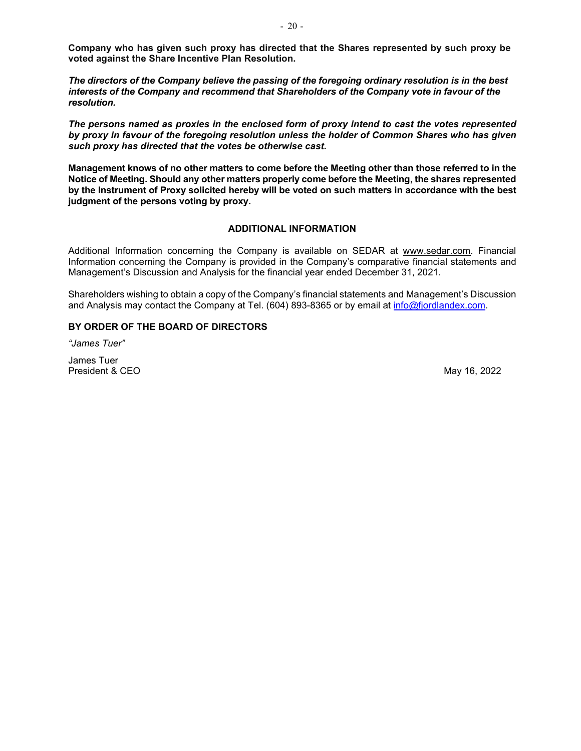**Company who has given such proxy has directed that the Shares represented by such proxy be voted against the Share Incentive Plan Resolution.**

*The directors of the Company believe the passing of the foregoing ordinary resolution is in the best interests of the Company and recommend that Shareholders of the Company vote in favour of the resolution.*

*The persons named as proxies in the enclosed form of proxy intend to cast the votes represented by proxy in favour of the foregoing resolution unless the holder of Common Shares who has given such proxy has directed that the votes be otherwise cast.*

**Management knows of no other matters to come before the Meeting other than those referred to in the Notice of Meeting. Should any other matters properly come before the Meeting, the shares represented by the Instrument of Proxy solicited hereby will be voted on such matters in accordance with the best judgment of the persons voting by proxy.**

# **ADDITIONAL INFORMATION**

Additional Information concerning the Company is available on SEDAR at www.sedar.com. Financial Information concerning the Company is provided in the Company's comparative financial statements and Management's Discussion and Analysis for the financial year ended December 31, 2021.

Shareholders wishing to obtain a copy of the Company's financial statements and Management's Discussion and Analysis may contact the Company at Tel. (604) 893-8365 or by email at [info@fjordlandex.com.](mailto:info@fjordlandex.com)

# **BY ORDER OF THE BOARD OF DIRECTORS**

*"James Tuer"* 

James Tuer President & CEO May 16, 2022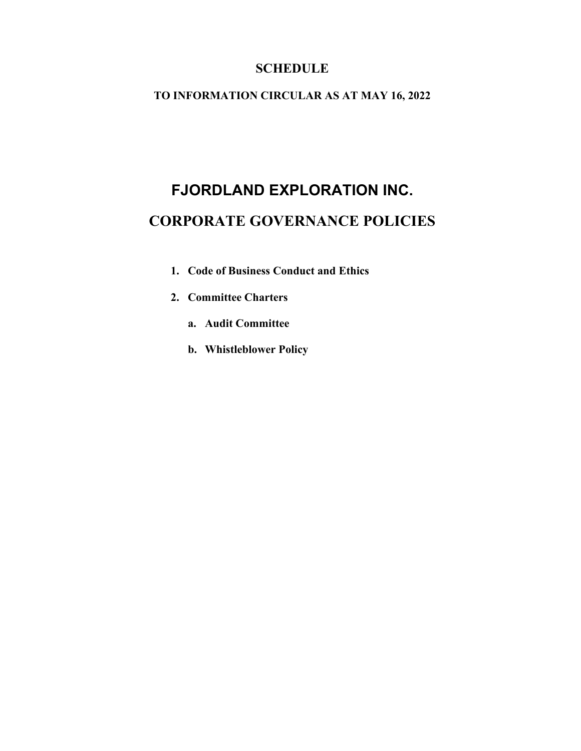# **SCHEDULE**

# **TO INFORMATION CIRCULAR AS AT MAY 16, 2022**

# **FJORDLAND EXPLORATION INC. CORPORATE GOVERNANCE POLICIES**

- **1. Code of Business Conduct and Ethics**
- **2. Committee Charters**
	- **a. Audit Committee**
	- **b. [Whistleblower Policy](#page-27-0)**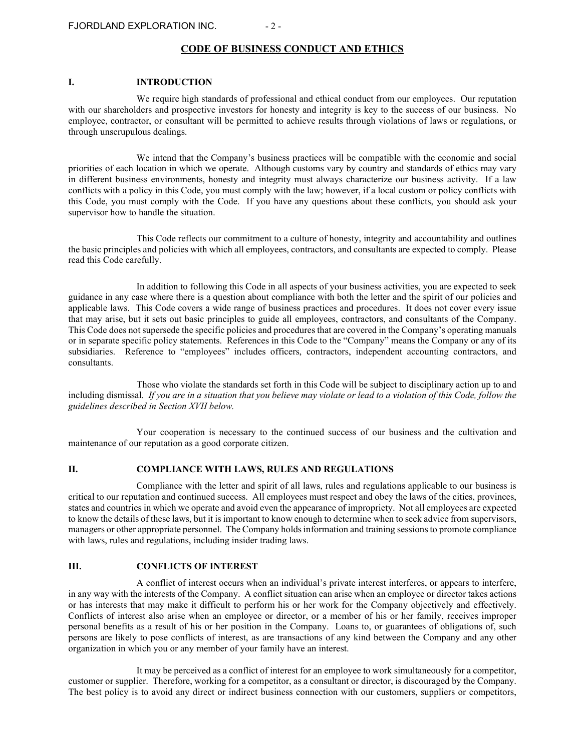#### **CODE OF BUSINESS CONDUCT AND ETHICS**

#### **I. INTRODUCTION**

We require high standards of professional and ethical conduct from our employees. Our reputation with our shareholders and prospective investors for honesty and integrity is key to the success of our business. No employee, contractor, or consultant will be permitted to achieve results through violations of laws or regulations, or through unscrupulous dealings.

We intend that the Company's business practices will be compatible with the economic and social priorities of each location in which we operate. Although customs vary by country and standards of ethics may vary in different business environments, honesty and integrity must always characterize our business activity. If a law conflicts with a policy in this Code, you must comply with the law; however, if a local custom or policy conflicts with this Code, you must comply with the Code. If you have any questions about these conflicts, you should ask your supervisor how to handle the situation.

This Code reflects our commitment to a culture of honesty, integrity and accountability and outlines the basic principles and policies with which all employees, contractors, and consultants are expected to comply. Please read this Code carefully.

In addition to following this Code in all aspects of your business activities, you are expected to seek guidance in any case where there is a question about compliance with both the letter and the spirit of our policies and applicable laws. This Code covers a wide range of business practices and procedures. It does not cover every issue that may arise, but it sets out basic principles to guide all employees, contractors, and consultants of the Company. This Code does not supersede the specific policies and procedures that are covered in the Company's operating manuals or in separate specific policy statements. References in this Code to the "Company" means the Company or any of its subsidiaries. Reference to "employees" includes officers, contractors, independent accounting contractors, and consultants.

Those who violate the standards set forth in this Code will be subject to disciplinary action up to and including dismissal. *If you are in a situation that you believe may violate or lead to a violation of this Code, follow the guidelines described in Section XVII below.*

Your cooperation is necessary to the continued success of our business and the cultivation and maintenance of our reputation as a good corporate citizen.

#### **II. COMPLIANCE WITH LAWS, RULES AND REGULATIONS**

Compliance with the letter and spirit of all laws, rules and regulations applicable to our business is critical to our reputation and continued success. All employees must respect and obey the laws of the cities, provinces, states and countries in which we operate and avoid even the appearance of impropriety. Not all employees are expected to know the details of these laws, but it is important to know enough to determine when to seek advice from supervisors, managers or other appropriate personnel. The Company holds information and training sessions to promote compliance with laws, rules and regulations, including insider trading laws.

#### **III. CONFLICTS OF INTEREST**

A conflict of interest occurs when an individual's private interest interferes, or appears to interfere, in any way with the interests of the Company. A conflict situation can arise when an employee or director takes actions or has interests that may make it difficult to perform his or her work for the Company objectively and effectively. Conflicts of interest also arise when an employee or director, or a member of his or her family, receives improper personal benefits as a result of his or her position in the Company. Loans to, or guarantees of obligations of, such persons are likely to pose conflicts of interest, as are transactions of any kind between the Company and any other organization in which you or any member of your family have an interest.

It may be perceived as a conflict of interest for an employee to work simultaneously for a competitor, customer or supplier. Therefore, working for a competitor, as a consultant or director, is discouraged by the Company. The best policy is to avoid any direct or indirect business connection with our customers, suppliers or competitors,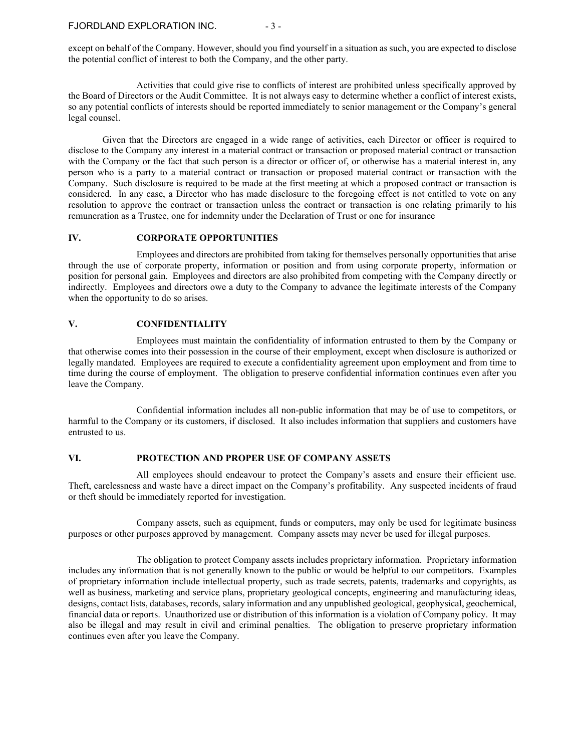except on behalf of the Company. However, should you find yourself in a situation as such, you are expected to disclose the potential conflict of interest to both the Company, and the other party.

Activities that could give rise to conflicts of interest are prohibited unless specifically approved by the Board of Directors or the Audit Committee. It is not always easy to determine whether a conflict of interest exists, so any potential conflicts of interests should be reported immediately to senior management or the Company's general legal counsel.

Given that the Directors are engaged in a wide range of activities, each Director or officer is required to disclose to the Company any interest in a material contract or transaction or proposed material contract or transaction with the Company or the fact that such person is a director or officer of, or otherwise has a material interest in, any person who is a party to a material contract or transaction or proposed material contract or transaction with the Company. Such disclosure is required to be made at the first meeting at which a proposed contract or transaction is considered. In any case, a Director who has made disclosure to the foregoing effect is not entitled to vote on any resolution to approve the contract or transaction unless the contract or transaction is one relating primarily to his remuneration as a Trustee, one for indemnity under the Declaration of Trust or one for insurance

#### **IV. CORPORATE OPPORTUNITIES**

Employees and directors are prohibited from taking for themselves personally opportunities that arise through the use of corporate property, information or position and from using corporate property, information or position for personal gain. Employees and directors are also prohibited from competing with the Company directly or indirectly. Employees and directors owe a duty to the Company to advance the legitimate interests of the Company when the opportunity to do so arises.

#### **V. CONFIDENTIALITY**

Employees must maintain the confidentiality of information entrusted to them by the Company or that otherwise comes into their possession in the course of their employment, except when disclosure is authorized or legally mandated. Employees are required to execute a confidentiality agreement upon employment and from time to time during the course of employment. The obligation to preserve confidential information continues even after you leave the Company.

Confidential information includes all non-public information that may be of use to competitors, or harmful to the Company or its customers, if disclosed. It also includes information that suppliers and customers have entrusted to us.

#### **VI. PROTECTION AND PROPER USE OF COMPANY ASSETS**

All employees should endeavour to protect the Company's assets and ensure their efficient use. Theft, carelessness and waste have a direct impact on the Company's profitability. Any suspected incidents of fraud or theft should be immediately reported for investigation.

Company assets, such as equipment, funds or computers, may only be used for legitimate business purposes or other purposes approved by management. Company assets may never be used for illegal purposes.

The obligation to protect Company assets includes proprietary information. Proprietary information includes any information that is not generally known to the public or would be helpful to our competitors. Examples of proprietary information include intellectual property, such as trade secrets, patents, trademarks and copyrights, as well as business, marketing and service plans, proprietary geological concepts, engineering and manufacturing ideas, designs, contact lists, databases, records, salary information and any unpublished geological, geophysical, geochemical, financial data or reports. Unauthorized use or distribution of this information is a violation of Company policy. It may also be illegal and may result in civil and criminal penalties. The obligation to preserve proprietary information continues even after you leave the Company.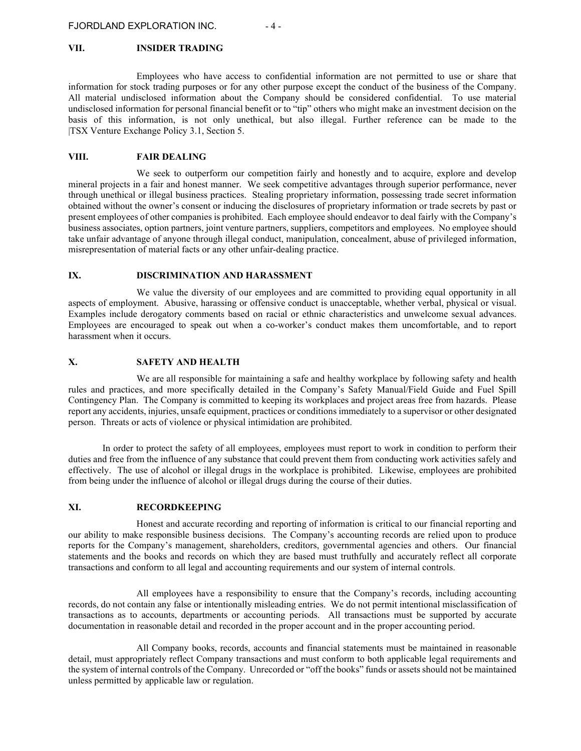#### **VII. INSIDER TRADING**

Employees who have access to confidential information are not permitted to use or share that information for stock trading purposes or for any other purpose except the conduct of the business of the Company. All material undisclosed information about the Company should be considered confidential. To use material undisclosed information for personal financial benefit or to "tip" others who might make an investment decision on the basis of this information, is not only unethical, but also illegal. Further reference can be made to the |TSX Venture Exchange Policy 3.1, Section 5.

# **VIII. FAIR DEALING**

We seek to outperform our competition fairly and honestly and to acquire, explore and develop mineral projects in a fair and honest manner. We seek competitive advantages through superior performance, never through unethical or illegal business practices. Stealing proprietary information, possessing trade secret information obtained without the owner's consent or inducing the disclosures of proprietary information or trade secrets by past or present employees of other companies is prohibited. Each employee should endeavor to deal fairly with the Company's business associates, option partners, joint venture partners, suppliers, competitors and employees. No employee should take unfair advantage of anyone through illegal conduct, manipulation, concealment, abuse of privileged information, misrepresentation of material facts or any other unfair-dealing practice.

#### **IX. DISCRIMINATION AND HARASSMENT**

We value the diversity of our employees and are committed to providing equal opportunity in all aspects of employment. Abusive, harassing or offensive conduct is unacceptable, whether verbal, physical or visual. Examples include derogatory comments based on racial or ethnic characteristics and unwelcome sexual advances. Employees are encouraged to speak out when a co-worker's conduct makes them uncomfortable, and to report harassment when it occurs.

#### **X. SAFETY AND HEALTH**

We are all responsible for maintaining a safe and healthy workplace by following safety and health rules and practices, and more specifically detailed in the Company's Safety Manual/Field Guide and Fuel Spill Contingency Plan. The Company is committed to keeping its workplaces and project areas free from hazards. Please report any accidents, injuries, unsafe equipment, practices or conditions immediately to a supervisor or other designated person. Threats or acts of violence or physical intimidation are prohibited.

In order to protect the safety of all employees, employees must report to work in condition to perform their duties and free from the influence of any substance that could prevent them from conducting work activities safely and effectively. The use of alcohol or illegal drugs in the workplace is prohibited. Likewise, employees are prohibited from being under the influence of alcohol or illegal drugs during the course of their duties.

#### **XI. RECORDKEEPING**

Honest and accurate recording and reporting of information is critical to our financial reporting and our ability to make responsible business decisions. The Company's accounting records are relied upon to produce reports for the Company's management, shareholders, creditors, governmental agencies and others. Our financial statements and the books and records on which they are based must truthfully and accurately reflect all corporate transactions and conform to all legal and accounting requirements and our system of internal controls.

All employees have a responsibility to ensure that the Company's records, including accounting records, do not contain any false or intentionally misleading entries. We do not permit intentional misclassification of transactions as to accounts, departments or accounting periods. All transactions must be supported by accurate documentation in reasonable detail and recorded in the proper account and in the proper accounting period.

All Company books, records, accounts and financial statements must be maintained in reasonable detail, must appropriately reflect Company transactions and must conform to both applicable legal requirements and the system of internal controls of the Company. Unrecorded or "off the books" funds or assets should not be maintained unless permitted by applicable law or regulation.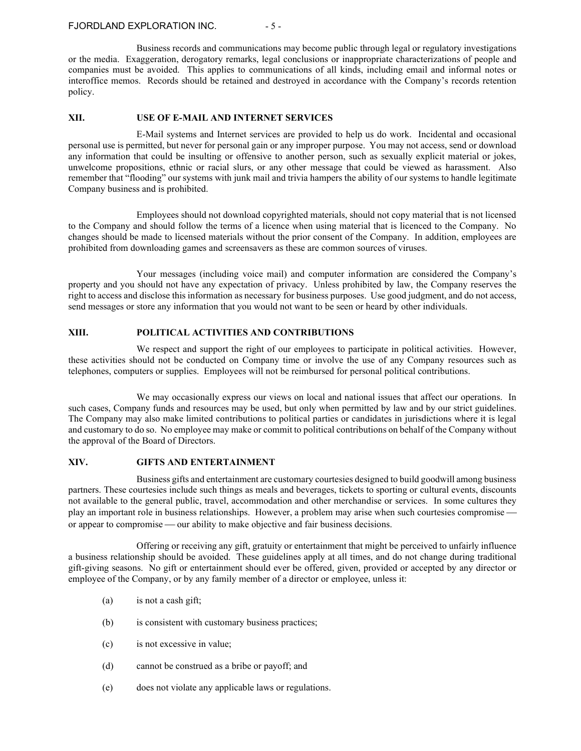#### FJORDLAND EXPLORATION INC.  $-5 -$

Business records and communications may become public through legal or regulatory investigations or the media. Exaggeration, derogatory remarks, legal conclusions or inappropriate characterizations of people and companies must be avoided. This applies to communications of all kinds, including email and informal notes or interoffice memos. Records should be retained and destroyed in accordance with the Company's records retention policy.

#### **XII. USE OF E-MAIL AND INTERNET SERVICES**

E-Mail systems and Internet services are provided to help us do work. Incidental and occasional personal use is permitted, but never for personal gain or any improper purpose. You may not access, send or download any information that could be insulting or offensive to another person, such as sexually explicit material or jokes, unwelcome propositions, ethnic or racial slurs, or any other message that could be viewed as harassment. Also remember that "flooding" our systems with junk mail and trivia hampers the ability of our systems to handle legitimate Company business and is prohibited.

Employees should not download copyrighted materials, should not copy material that is not licensed to the Company and should follow the terms of a licence when using material that is licenced to the Company. No changes should be made to licensed materials without the prior consent of the Company. In addition, employees are prohibited from downloading games and screensavers as these are common sources of viruses.

Your messages (including voice mail) and computer information are considered the Company's property and you should not have any expectation of privacy. Unless prohibited by law, the Company reserves the right to access and disclose this information as necessary for business purposes. Use good judgment, and do not access, send messages or store any information that you would not want to be seen or heard by other individuals.

# **XIII. POLITICAL ACTIVITIES AND CONTRIBUTIONS**

We respect and support the right of our employees to participate in political activities. However, these activities should not be conducted on Company time or involve the use of any Company resources such as telephones, computers or supplies. Employees will not be reimbursed for personal political contributions.

We may occasionally express our views on local and national issues that affect our operations. In such cases, Company funds and resources may be used, but only when permitted by law and by our strict guidelines. The Company may also make limited contributions to political parties or candidates in jurisdictions where it is legal and customary to do so. No employee may make or commit to political contributions on behalf of the Company without the approval of the Board of Directors.

#### **XIV. GIFTS AND ENTERTAINMENT**

Business gifts and entertainment are customary courtesies designed to build goodwill among business partners. These courtesies include such things as meals and beverages, tickets to sporting or cultural events, discounts not available to the general public, travel, accommodation and other merchandise or services. In some cultures they play an important role in business relationships. However, a problem may arise when such courtesies compromise or appear to compromise — our ability to make objective and fair business decisions.

Offering or receiving any gift, gratuity or entertainment that might be perceived to unfairly influence a business relationship should be avoided. These guidelines apply at all times, and do not change during traditional gift-giving seasons. No gift or entertainment should ever be offered, given, provided or accepted by any director or employee of the Company, or by any family member of a director or employee, unless it:

- (a) is not a cash gift;
- (b) is consistent with customary business practices;
- (c) is not excessive in value;
- (d) cannot be construed as a bribe or payoff; and
- (e) does not violate any applicable laws or regulations.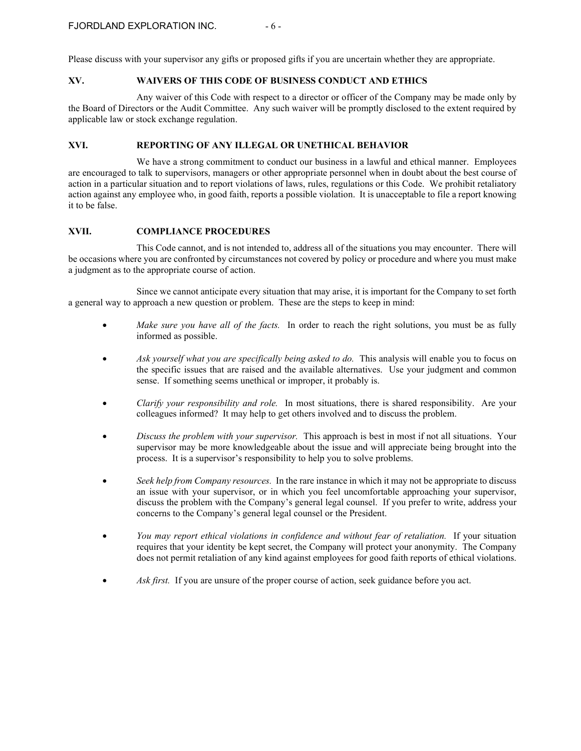Please discuss with your supervisor any gifts or proposed gifts if you are uncertain whether they are appropriate.

# **XV. WAIVERS OF THIS CODE OF BUSINESS CONDUCT AND ETHICS**

Any waiver of this Code with respect to a director or officer of the Company may be made only by the Board of Directors or the Audit Committee. Any such waiver will be promptly disclosed to the extent required by applicable law or stock exchange regulation.

# **XVI. REPORTING OF ANY ILLEGAL OR UNETHICAL BEHAVIOR**

We have a strong commitment to conduct our business in a lawful and ethical manner. Employees are encouraged to talk to supervisors, managers or other appropriate personnel when in doubt about the best course of action in a particular situation and to report violations of laws, rules, regulations or this Code. We prohibit retaliatory action against any employee who, in good faith, reports a possible violation. It is unacceptable to file a report knowing it to be false.

# **XVII. COMPLIANCE PROCEDURES**

This Code cannot, and is not intended to, address all of the situations you may encounter. There will be occasions where you are confronted by circumstances not covered by policy or procedure and where you must make a judgment as to the appropriate course of action.

Since we cannot anticipate every situation that may arise, it is important for the Company to set forth a general way to approach a new question or problem. These are the steps to keep in mind:

- *Make sure you have all of the facts.* In order to reach the right solutions, you must be as fully informed as possible.
- *Ask yourself what you are specifically being asked to do.* This analysis will enable you to focus on the specific issues that are raised and the available alternatives. Use your judgment and common sense. If something seems unethical or improper, it probably is.
- *Clarify your responsibility and role.* In most situations, there is shared responsibility. Are your colleagues informed? It may help to get others involved and to discuss the problem.
- *Discuss the problem with your supervisor.* This approach is best in most if not all situations. Your supervisor may be more knowledgeable about the issue and will appreciate being brought into the process. It is a supervisor's responsibility to help you to solve problems.
- *Seek help from Company resources.* In the rare instance in which it may not be appropriate to discuss an issue with your supervisor, or in which you feel uncomfortable approaching your supervisor, discuss the problem with the Company's general legal counsel. If you prefer to write, address your concerns to the Company's general legal counsel or the President.
- *You may report ethical violations in confidence and without fear of retaliation.* If your situation requires that your identity be kept secret, the Company will protect your anonymity. The Company does not permit retaliation of any kind against employees for good faith reports of ethical violations.
- *Ask first.* If you are unsure of the proper course of action, seek guidance before you act.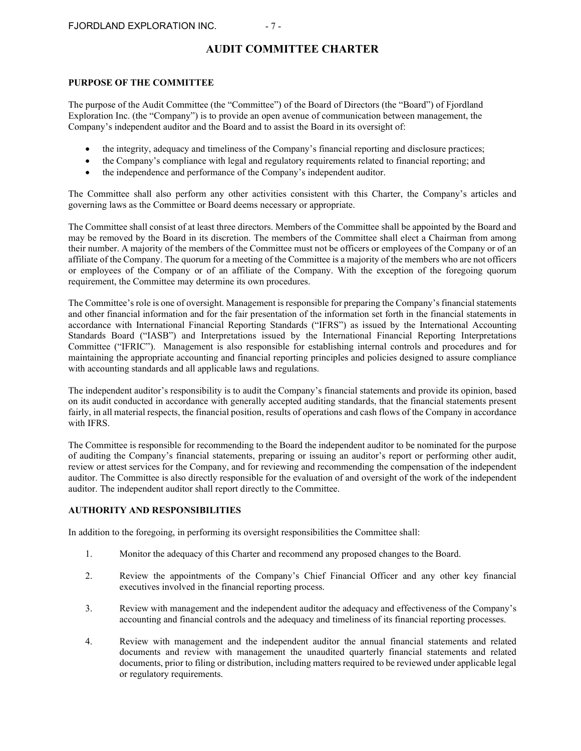# **AUDIT COMMITTEE CHARTER**

#### **PURPOSE OF THE COMMITTEE**

The purpose of the Audit Committee (the "Committee") of the Board of Directors (the "Board") of Fjordland Exploration Inc. (the "Company") is to provide an open avenue of communication between management, the Company's independent auditor and the Board and to assist the Board in its oversight of:

- the integrity, adequacy and timeliness of the Company's financial reporting and disclosure practices;
- the Company's compliance with legal and regulatory requirements related to financial reporting; and
- the independence and performance of the Company's independent auditor.

The Committee shall also perform any other activities consistent with this Charter, the Company's articles and governing laws as the Committee or Board deems necessary or appropriate.

The Committee shall consist of at least three directors. Members of the Committee shall be appointed by the Board and may be removed by the Board in its discretion. The members of the Committee shall elect a Chairman from among their number. A majority of the members of the Committee must not be officers or employees of the Company or of an affiliate of the Company. The quorum for a meeting of the Committee is a majority of the members who are not officers or employees of the Company or of an affiliate of the Company. With the exception of the foregoing quorum requirement, the Committee may determine its own procedures.

The Committee's role is one of oversight. Management is responsible for preparing the Company's financial statements and other financial information and for the fair presentation of the information set forth in the financial statements in accordance with International Financial Reporting Standards ("IFRS") as issued by the International Accounting Standards Board ("IASB") and Interpretations issued by the International Financial Reporting Interpretations Committee ("IFRIC"). Management is also responsible for establishing internal controls and procedures and for maintaining the appropriate accounting and financial reporting principles and policies designed to assure compliance with accounting standards and all applicable laws and regulations.

The independent auditor's responsibility is to audit the Company's financial statements and provide its opinion, based on its audit conducted in accordance with generally accepted auditing standards, that the financial statements present fairly, in all material respects, the financial position, results of operations and cash flows of the Company in accordance with IFRS.

The Committee is responsible for recommending to the Board the independent auditor to be nominated for the purpose of auditing the Company's financial statements, preparing or issuing an auditor's report or performing other audit, review or attest services for the Company, and for reviewing and recommending the compensation of the independent auditor. The Committee is also directly responsible for the evaluation of and oversight of the work of the independent auditor. The independent auditor shall report directly to the Committee.

#### **AUTHORITY AND RESPONSIBILITIES**

In addition to the foregoing, in performing its oversight responsibilities the Committee shall:

- 1. Monitor the adequacy of this Charter and recommend any proposed changes to the Board.
- 2. Review the appointments of the Company's Chief Financial Officer and any other key financial executives involved in the financial reporting process.
- 3. Review with management and the independent auditor the adequacy and effectiveness of the Company's accounting and financial controls and the adequacy and timeliness of its financial reporting processes.
- 4. Review with management and the independent auditor the annual financial statements and related documents and review with management the unaudited quarterly financial statements and related documents, prior to filing or distribution, including matters required to be reviewed under applicable legal or regulatory requirements.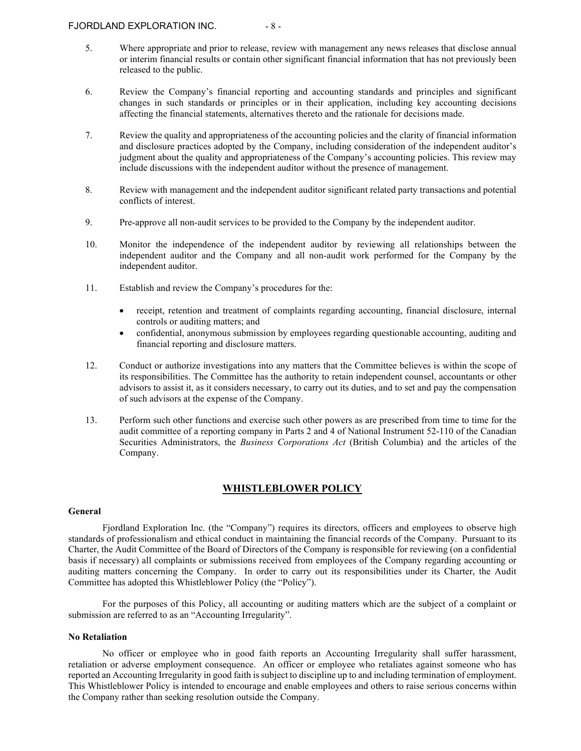- 5. Where appropriate and prior to release, review with management any news releases that disclose annual or interim financial results or contain other significant financial information that has not previously been released to the public.
- 6. Review the Company's financial reporting and accounting standards and principles and significant changes in such standards or principles or in their application, including key accounting decisions affecting the financial statements, alternatives thereto and the rationale for decisions made.
- 7. Review the quality and appropriateness of the accounting policies and the clarity of financial information and disclosure practices adopted by the Company, including consideration of the independent auditor's judgment about the quality and appropriateness of the Company's accounting policies. This review may include discussions with the independent auditor without the presence of management.
- 8. Review with management and the independent auditor significant related party transactions and potential conflicts of interest.
- 9. Pre-approve all non-audit services to be provided to the Company by the independent auditor.
- 10. Monitor the independence of the independent auditor by reviewing all relationships between the independent auditor and the Company and all non-audit work performed for the Company by the independent auditor.
- 11. Establish and review the Company's procedures for the:
	- receipt, retention and treatment of complaints regarding accounting, financial disclosure, internal controls or auditing matters; and
	- confidential, anonymous submission by employees regarding questionable accounting, auditing and financial reporting and disclosure matters.
- 12. Conduct or authorize investigations into any matters that the Committee believes is within the scope of its responsibilities. The Committee has the authority to retain independent counsel, accountants or other advisors to assist it, as it considers necessary, to carry out its duties, and to set and pay the compensation of such advisors at the expense of the Company.
- 13. Perform such other functions and exercise such other powers as are prescribed from time to time for the audit committee of a reporting company in Parts 2 and 4 of National Instrument 52-110 of the Canadian Securities Administrators, the *Business Corporations Act* (British Columbia) and the articles of the Company.

# **WHISTLEBLOWER POLICY**

#### <span id="page-27-0"></span>**General**

Fjordland Exploration Inc. (the "Company") requires its directors, officers and employees to observe high standards of professionalism and ethical conduct in maintaining the financial records of the Company. Pursuant to its Charter, the Audit Committee of the Board of Directors of the Company is responsible for reviewing (on a confidential basis if necessary) all complaints or submissions received from employees of the Company regarding accounting or auditing matters concerning the Company. In order to carry out its responsibilities under its Charter, the Audit Committee has adopted this Whistleblower Policy (the "Policy").

For the purposes of this Policy, all accounting or auditing matters which are the subject of a complaint or submission are referred to as an "Accounting Irregularity".

#### **No Retaliation**

No officer or employee who in good faith reports an Accounting Irregularity shall suffer harassment, retaliation or adverse employment consequence. An officer or employee who retaliates against someone who has reported an Accounting Irregularity in good faith is subject to discipline up to and including termination of employment. This Whistleblower Policy is intended to encourage and enable employees and others to raise serious concerns within the Company rather than seeking resolution outside the Company.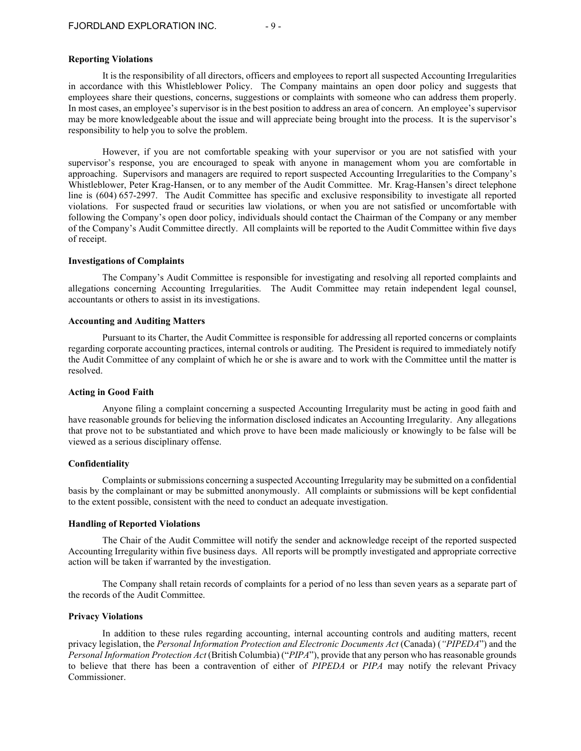#### **Reporting Violations**

It is the responsibility of all directors, officers and employees to report all suspected Accounting Irregularities in accordance with this Whistleblower Policy. The Company maintains an open door policy and suggests that employees share their questions, concerns, suggestions or complaints with someone who can address them properly. In most cases, an employee's supervisor is in the best position to address an area of concern. An employee's supervisor may be more knowledgeable about the issue and will appreciate being brought into the process. It is the supervisor's responsibility to help you to solve the problem.

However, if you are not comfortable speaking with your supervisor or you are not satisfied with your supervisor's response, you are encouraged to speak with anyone in management whom you are comfortable in approaching. Supervisors and managers are required to report suspected Accounting Irregularities to the Company's Whistleblower, Peter Krag-Hansen, or to any member of the Audit Committee. Mr. Krag-Hansen's direct telephone line is (604) 657-2997. The Audit Committee has specific and exclusive responsibility to investigate all reported violations. For suspected fraud or securities law violations, or when you are not satisfied or uncomfortable with following the Company's open door policy, individuals should contact the Chairman of the Company or any member of the Company's Audit Committee directly. All complaints will be reported to the Audit Committee within five days of receipt.

#### **Investigations of Complaints**

The Company's Audit Committee is responsible for investigating and resolving all reported complaints and allegations concerning Accounting Irregularities. The Audit Committee may retain independent legal counsel, accountants or others to assist in its investigations.

#### **Accounting and Auditing Matters**

Pursuant to its Charter, the Audit Committee is responsible for addressing all reported concerns or complaints regarding corporate accounting practices, internal controls or auditing. The President is required to immediately notify the Audit Committee of any complaint of which he or she is aware and to work with the Committee until the matter is resolved.

#### **Acting in Good Faith**

Anyone filing a complaint concerning a suspected Accounting Irregularity must be acting in good faith and have reasonable grounds for believing the information disclosed indicates an Accounting Irregularity. Any allegations that prove not to be substantiated and which prove to have been made maliciously or knowingly to be false will be viewed as a serious disciplinary offense.

#### **Confidentiality**

Complaints or submissions concerning a suspected Accounting Irregularity may be submitted on a confidential basis by the complainant or may be submitted anonymously. All complaints or submissions will be kept confidential to the extent possible, consistent with the need to conduct an adequate investigation.

#### **Handling of Reported Violations**

The Chair of the Audit Committee will notify the sender and acknowledge receipt of the reported suspected Accounting Irregularity within five business days. All reports will be promptly investigated and appropriate corrective action will be taken if warranted by the investigation.

The Company shall retain records of complaints for a period of no less than seven years as a separate part of the records of the Audit Committee.

#### **Privacy Violations**

In addition to these rules regarding accounting, internal accounting controls and auditing matters, recent privacy legislation, the *Personal Information Protection and Electronic Documents Act* (Canada) (*"PIPEDA*") and the *Personal Information Protection Act* (British Columbia) ("*PIPA*"), provide that any person who has reasonable grounds to believe that there has been a contravention of either of *PIPEDA* or *PIPA* may notify the relevant Privacy Commissioner.